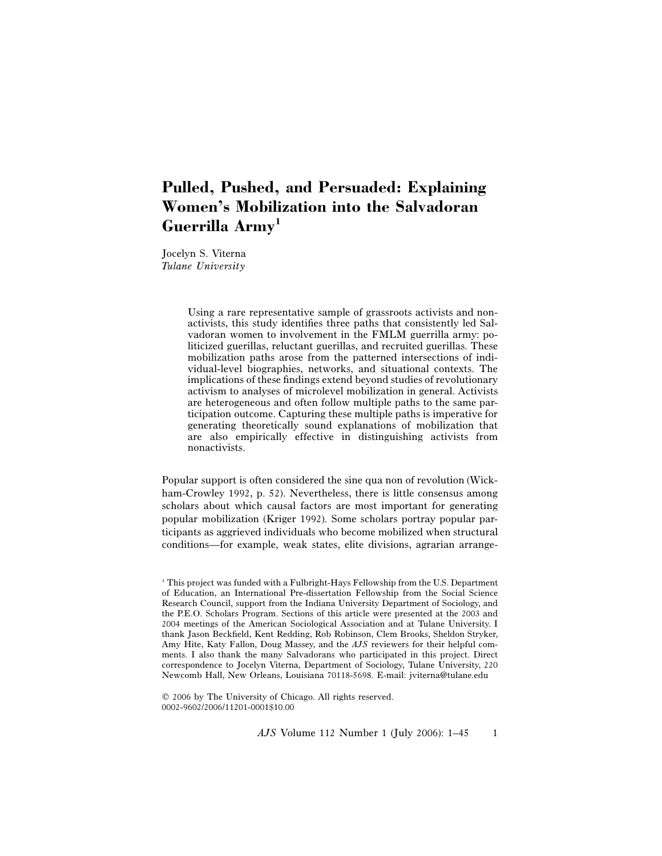# **Pulled, Pushed, and Persuaded: Explaining Women's Mobilization into the Salvadoran Guerrilla Army1**

Jocelyn S. Viterna *Tulane University*

> Using a rare representative sample of grassroots activists and nonactivists, this study identifies three paths that consistently led Salvadoran women to involvement in the FMLM guerrilla army: politicized guerillas, reluctant guerillas, and recruited guerillas. These mobilization paths arose from the patterned intersections of individual-level biographies, networks, and situational contexts. The implications of these findings extend beyond studies of revolutionary activism to analyses of microlevel mobilization in general. Activists are heterogeneous and often follow multiple paths to the same participation outcome. Capturing these multiple paths is imperative for generating theoretically sound explanations of mobilization that are also empirically effective in distinguishing activists from nonactivists.

Popular support is often considered the sine qua non of revolution (Wickham-Crowley 1992, p. 52). Nevertheless, there is little consensus among scholars about which causal factors are most important for generating popular mobilization (Kriger 1992). Some scholars portray popular participants as aggrieved individuals who become mobilized when structural conditions—for example, weak states, elite divisions, agrarian arrange-

 2006 by The University of Chicago. All rights reserved. 0002-9602/2006/11201-0001\$10.00

*AJS* Volume 112 Number 1 (July 2006): 1–45 1

<sup>&</sup>lt;sup>1</sup> This project was funded with a Fulbright-Hays Fellowship from the U.S. Department of Education, an International Pre-dissertation Fellowship from the Social Science Research Council, support from the Indiana University Department of Sociology, and the P.E.O. Scholars Program. Sections of this article were presented at the 2003 and 2004 meetings of the American Sociological Association and at Tulane University. I thank Jason Beckfield, Kent Redding, Rob Robinson, Clem Brooks, Sheldon Stryker, Amy Hite, Katy Fallon, Doug Massey, and the *AJS* reviewers for their helpful comments. I also thank the many Salvadorans who participated in this project. Direct correspondence to Jocelyn Viterna, Department of Sociology, Tulane University, 220 Newcomb Hall, New Orleans, Louisiana 70118-5698. E-mail: jviterna@tulane.edu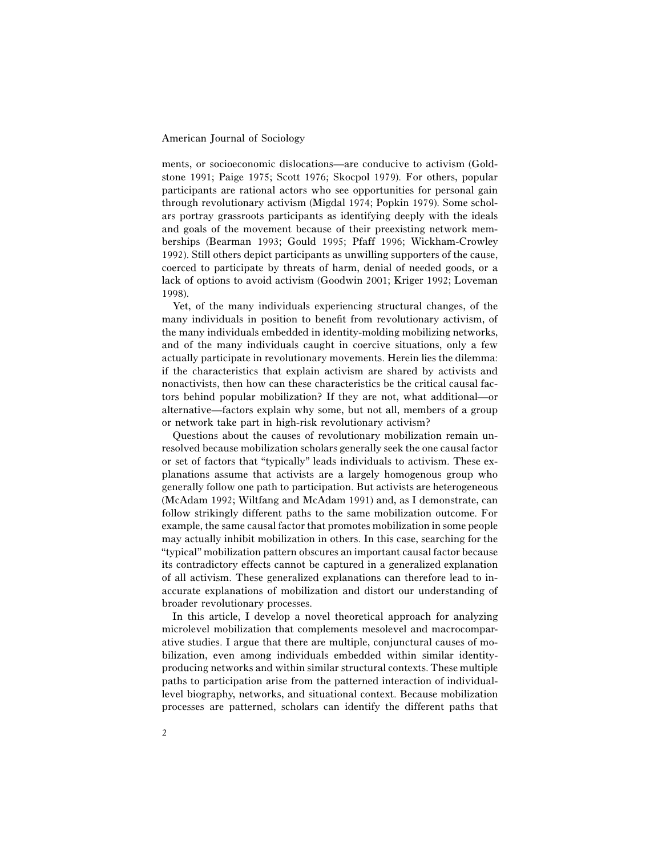ments, or socioeconomic dislocations—are conducive to activism (Goldstone 1991; Paige 1975; Scott 1976; Skocpol 1979). For others, popular participants are rational actors who see opportunities for personal gain through revolutionary activism (Migdal 1974; Popkin 1979). Some scholars portray grassroots participants as identifying deeply with the ideals and goals of the movement because of their preexisting network memberships (Bearman 1993; Gould 1995; Pfaff 1996; Wickham-Crowley 1992). Still others depict participants as unwilling supporters of the cause, coerced to participate by threats of harm, denial of needed goods, or a lack of options to avoid activism (Goodwin 2001; Kriger 1992; Loveman 1998).

Yet, of the many individuals experiencing structural changes, of the many individuals in position to benefit from revolutionary activism, of the many individuals embedded in identity-molding mobilizing networks, and of the many individuals caught in coercive situations, only a few actually participate in revolutionary movements. Herein lies the dilemma: if the characteristics that explain activism are shared by activists and nonactivists, then how can these characteristics be the critical causal factors behind popular mobilization? If they are not, what additional—or alternative—factors explain why some, but not all, members of a group or network take part in high-risk revolutionary activism?

Questions about the causes of revolutionary mobilization remain unresolved because mobilization scholars generally seek the one causal factor or set of factors that "typically" leads individuals to activism. These explanations assume that activists are a largely homogenous group who generally follow one path to participation. But activists are heterogeneous (McAdam 1992; Wiltfang and McAdam 1991) and, as I demonstrate, can follow strikingly different paths to the same mobilization outcome. For example, the same causal factor that promotes mobilization in some people may actually inhibit mobilization in others. In this case, searching for the "typical" mobilization pattern obscures an important causal factor because its contradictory effects cannot be captured in a generalized explanation of all activism. These generalized explanations can therefore lead to inaccurate explanations of mobilization and distort our understanding of broader revolutionary processes.

In this article, I develop a novel theoretical approach for analyzing microlevel mobilization that complements mesolevel and macrocomparative studies. I argue that there are multiple, conjunctural causes of mobilization, even among individuals embedded within similar identityproducing networks and within similar structural contexts. These multiple paths to participation arise from the patterned interaction of individuallevel biography, networks, and situational context. Because mobilization processes are patterned, scholars can identify the different paths that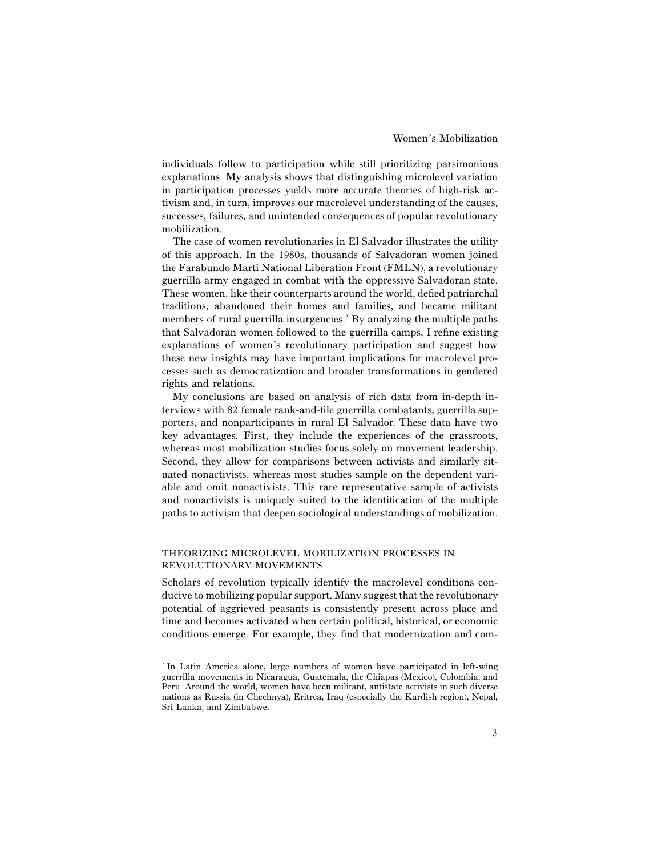individuals follow to participation while still prioritizing parsimonious explanations. My analysis shows that distinguishing microlevel variation in participation processes yields more accurate theories of high-risk activism and, in turn, improves our macrolevel understanding of the causes, successes, failures, and unintended consequences of popular revolutionary mobilization.

The case of women revolutionaries in El Salvador illustrates the utility of this approach. In the 1980s, thousands of Salvadoran women joined the Farabundo Marti National Liberation Front (FMLN), a revolutionary guerrilla army engaged in combat with the oppressive Salvadoran state. These women, like their counterparts around the world, defied patriarchal traditions, abandoned their homes and families, and became militant members of rural guerrilla insurgencies.<sup>2</sup> By analyzing the multiple paths that Salvadoran women followed to the guerrilla camps, I refine existing explanations of women's revolutionary participation and suggest how these new insights may have important implications for macrolevel processes such as democratization and broader transformations in gendered rights and relations.

My conclusions are based on analysis of rich data from in-depth interviews with 82 female rank-and-file guerrilla combatants, guerrilla supporters, and nonparticipants in rural El Salvador. These data have two key advantages. First, they include the experiences of the grassroots, whereas most mobilization studies focus solely on movement leadership. Second, they allow for comparisons between activists and similarly situated nonactivists, whereas most studies sample on the dependent variable and omit nonactivists. This rare representative sample of activists and nonactivists is uniquely suited to the identification of the multiple paths to activism that deepen sociological understandings of mobilization.

## THEORIZING MICROLEVEL MOBILIZATION PROCESSES IN REVOLUTIONARY MOVEMENTS

Scholars of revolution typically identify the macrolevel conditions conducive to mobilizing popular support. Many suggest that the revolutionary potential of aggrieved peasants is consistently present across place and time and becomes activated when certain political, historical, or economic conditions emerge. For example, they find that modernization and com-

<sup>&</sup>lt;sup>2</sup> In Latin America alone, large numbers of women have participated in left-wing guerrilla movements in Nicaragua, Guatemala, the Chiapas (Mexico), Colombia, and Peru. Around the world, women have been militant, antistate activists in such diverse nations as Russia (in Chechnya), Eritrea, Iraq (especially the Kurdish region), Nepal, Sri Lanka, and Zimbabwe.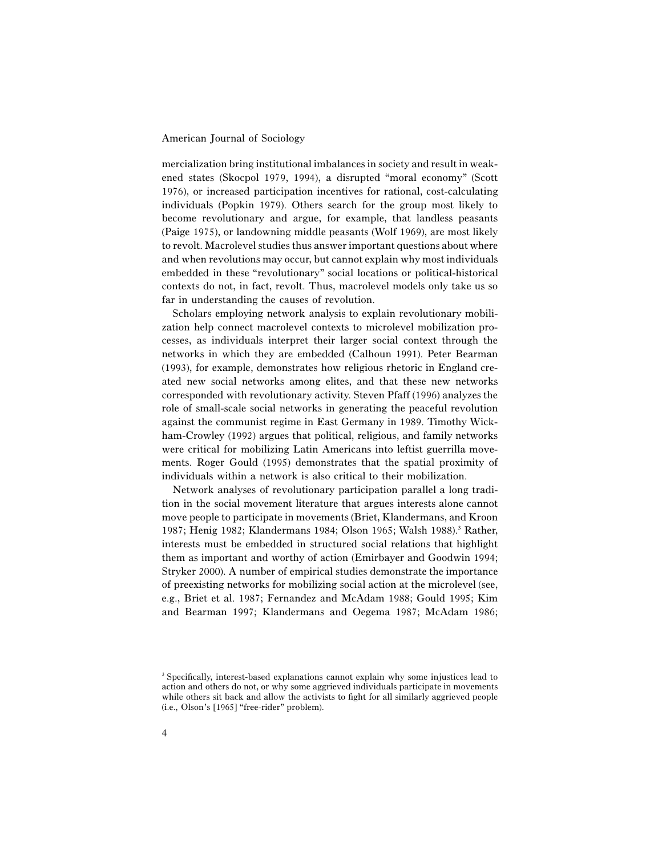mercialization bring institutional imbalances in society and result in weakened states (Skocpol 1979, 1994), a disrupted "moral economy" (Scott 1976), or increased participation incentives for rational, cost-calculating individuals (Popkin 1979). Others search for the group most likely to become revolutionary and argue, for example, that landless peasants (Paige 1975), or landowning middle peasants (Wolf 1969), are most likely to revolt. Macrolevel studies thus answer important questions about where and when revolutions may occur, but cannot explain why most individuals embedded in these "revolutionary" social locations or political-historical contexts do not, in fact, revolt. Thus, macrolevel models only take us so far in understanding the causes of revolution.

Scholars employing network analysis to explain revolutionary mobilization help connect macrolevel contexts to microlevel mobilization processes, as individuals interpret their larger social context through the networks in which they are embedded (Calhoun 1991). Peter Bearman (1993), for example, demonstrates how religious rhetoric in England created new social networks among elites, and that these new networks corresponded with revolutionary activity. Steven Pfaff (1996) analyzes the role of small-scale social networks in generating the peaceful revolution against the communist regime in East Germany in 1989. Timothy Wickham-Crowley (1992) argues that political, religious, and family networks were critical for mobilizing Latin Americans into leftist guerrilla movements. Roger Gould (1995) demonstrates that the spatial proximity of individuals within a network is also critical to their mobilization.

Network analyses of revolutionary participation parallel a long tradition in the social movement literature that argues interests alone cannot move people to participate in movements (Briet, Klandermans, and Kroon 1987; Henig 1982; Klandermans 1984; Olson 1965; Walsh 1988).<sup>3</sup> Rather, interests must be embedded in structured social relations that highlight them as important and worthy of action (Emirbayer and Goodwin 1994; Stryker 2000). A number of empirical studies demonstrate the importance of preexisting networks for mobilizing social action at the microlevel (see, e.g., Briet et al. 1987; Fernandez and McAdam 1988; Gould 1995; Kim and Bearman 1997; Klandermans and Oegema 1987; McAdam 1986;

<sup>&</sup>lt;sup>3</sup> Specifically, interest-based explanations cannot explain why some injustices lead to action and others do not, or why some aggrieved individuals participate in movements while others sit back and allow the activists to fight for all similarly aggrieved people (i.e., Olson's [1965] "free-rider" problem).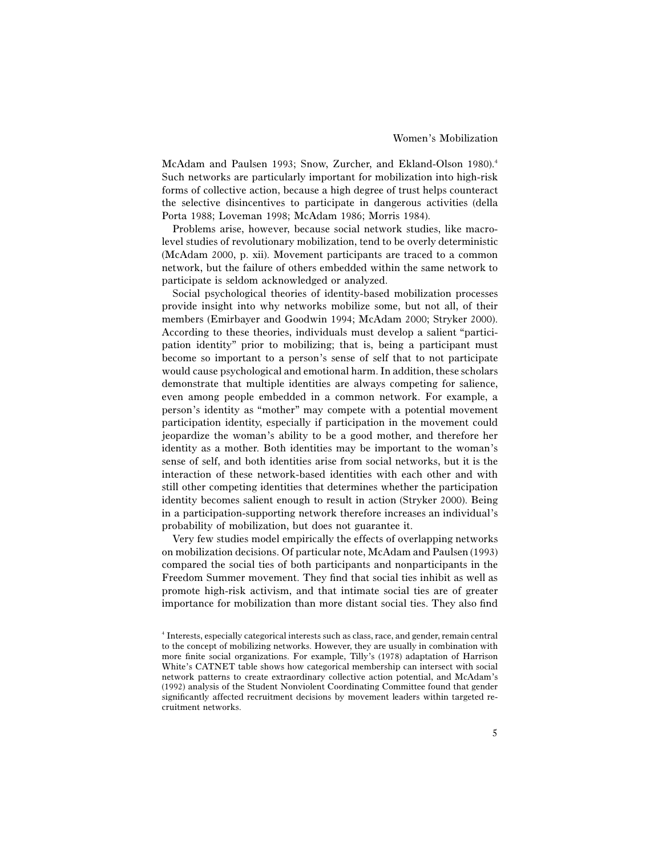McAdam and Paulsen 1993; Snow, Zurcher, and Ekland-Olson 1980).<sup>4</sup> Such networks are particularly important for mobilization into high-risk forms of collective action, because a high degree of trust helps counteract the selective disincentives to participate in dangerous activities (della Porta 1988; Loveman 1998; McAdam 1986; Morris 1984).

Problems arise, however, because social network studies, like macrolevel studies of revolutionary mobilization, tend to be overly deterministic (McAdam 2000, p. xii). Movement participants are traced to a common network, but the failure of others embedded within the same network to participate is seldom acknowledged or analyzed.

Social psychological theories of identity-based mobilization processes provide insight into why networks mobilize some, but not all, of their members (Emirbayer and Goodwin 1994; McAdam 2000; Stryker 2000). According to these theories, individuals must develop a salient "participation identity" prior to mobilizing; that is, being a participant must become so important to a person's sense of self that to not participate would cause psychological and emotional harm. In addition, these scholars demonstrate that multiple identities are always competing for salience, even among people embedded in a common network. For example, a person's identity as "mother" may compete with a potential movement participation identity, especially if participation in the movement could jeopardize the woman's ability to be a good mother, and therefore her identity as a mother. Both identities may be important to the woman's sense of self, and both identities arise from social networks, but it is the interaction of these network-based identities with each other and with still other competing identities that determines whether the participation identity becomes salient enough to result in action (Stryker 2000). Being in a participation-supporting network therefore increases an individual's probability of mobilization, but does not guarantee it.

Very few studies model empirically the effects of overlapping networks on mobilization decisions. Of particular note, McAdam and Paulsen (1993) compared the social ties of both participants and nonparticipants in the Freedom Summer movement. They find that social ties inhibit as well as promote high-risk activism, and that intimate social ties are of greater importance for mobilization than more distant social ties. They also find

<sup>4</sup> Interests, especially categorical interests such as class, race, and gender, remain central to the concept of mobilizing networks. However, they are usually in combination with more finite social organizations. For example, Tilly's (1978) adaptation of Harrison White's CATNET table shows how categorical membership can intersect with social network patterns to create extraordinary collective action potential, and McAdam's (1992) analysis of the Student Nonviolent Coordinating Committee found that gender significantly affected recruitment decisions by movement leaders within targeted recruitment networks.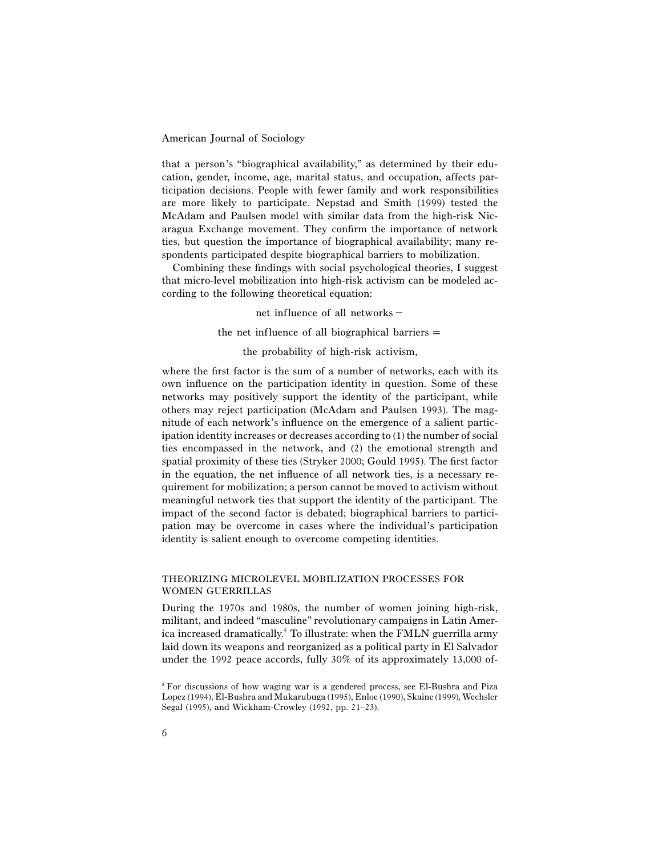that a person's "biographical availability," as determined by their education, gender, income, age, marital status, and occupation, affects participation decisions. People with fewer family and work responsibilities are more likely to participate. Nepstad and Smith (1999) tested the McAdam and Paulsen model with similar data from the high-risk Nicaragua Exchange movement. They confirm the importance of network ties, but question the importance of biographical availability; many respondents participated despite biographical barriers to mobilization.

Combining these findings with social psychological theories, I suggest that micro-level mobilization into high-risk activism can be modeled according to the following theoretical equation:

net influence of all networks

## the net influence of all biographical barriers  $=$

#### the probability of high-risk activism,

where the first factor is the sum of a number of networks, each with its own influence on the participation identity in question. Some of these networks may positively support the identity of the participant, while others may reject participation (McAdam and Paulsen 1993). The magnitude of each network's influence on the emergence of a salient participation identity increases or decreases according to (1) the number of social ties encompassed in the network, and (2) the emotional strength and spatial proximity of these ties (Stryker 2000; Gould 1995). The first factor in the equation, the net influence of all network ties, is a necessary requirement for mobilization; a person cannot be moved to activism without meaningful network ties that support the identity of the participant. The impact of the second factor is debated; biographical barriers to participation may be overcome in cases where the individual's participation identity is salient enough to overcome competing identities.

## THEORIZING MICROLEVEL MOBILIZATION PROCESSES FOR WOMEN GUERRILLAS

During the 1970s and 1980s, the number of women joining high-risk, militant, and indeed "masculine" revolutionary campaigns in Latin America increased dramatically.5 To illustrate: when the FMLN guerrilla army laid down its weapons and reorganized as a political party in El Salvador under the 1992 peace accords, fully 30% of its approximately 13,000 of-

<sup>&</sup>lt;sup>5</sup> For discussions of how waging war is a gendered process, see El-Bushra and Piza Lopez (1994), El-Bushra and Mukarubuga (1995), Enloe (1990), Skaine (1999), Wechsler Segal (1995), and Wickham-Crowley (1992, pp. 21–23).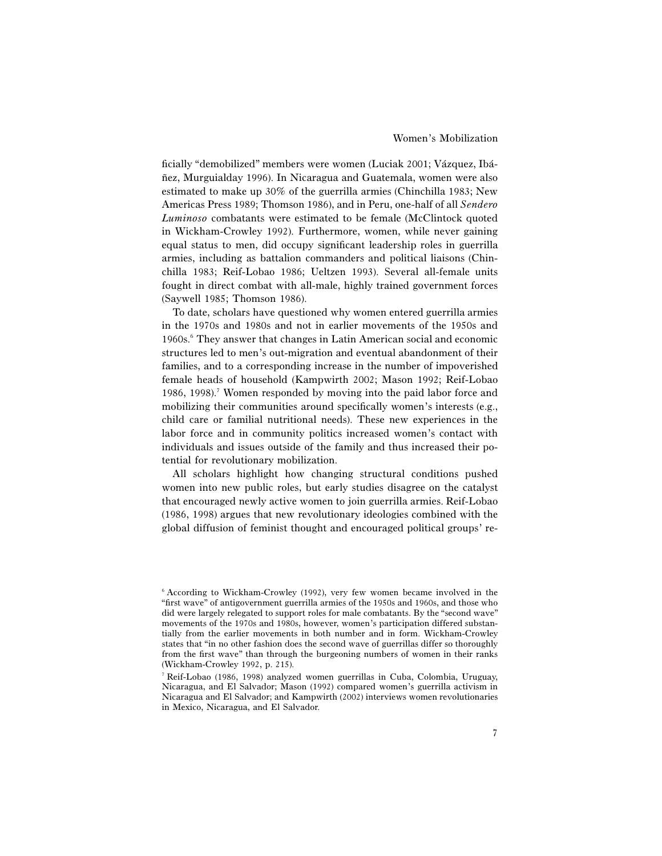#### Women's Mobilization

ficially "demobilized" members were women (Luciak 2001; Vázquez, Ibáñez, Murguialday 1996). In Nicaragua and Guatemala, women were also estimated to make up 30% of the guerrilla armies (Chinchilla 1983; New Americas Press 1989; Thomson 1986), and in Peru, one-half of all *Sendero Luminoso* combatants were estimated to be female (McClintock quoted in Wickham-Crowley 1992). Furthermore, women, while never gaining equal status to men, did occupy significant leadership roles in guerrilla armies, including as battalion commanders and political liaisons (Chinchilla 1983; Reif-Lobao 1986; Ueltzen 1993). Several all-female units fought in direct combat with all-male, highly trained government forces (Saywell 1985; Thomson 1986).

To date, scholars have questioned why women entered guerrilla armies in the 1970s and 1980s and not in earlier movements of the 1950s and 1960s.6 They answer that changes in Latin American social and economic structures led to men's out-migration and eventual abandonment of their families, and to a corresponding increase in the number of impoverished female heads of household (Kampwirth 2002; Mason 1992; Reif-Lobao 1986, 1998).<sup>7</sup> Women responded by moving into the paid labor force and mobilizing their communities around specifically women's interests (e.g., child care or familial nutritional needs). These new experiences in the labor force and in community politics increased women's contact with individuals and issues outside of the family and thus increased their potential for revolutionary mobilization.

All scholars highlight how changing structural conditions pushed women into new public roles, but early studies disagree on the catalyst that encouraged newly active women to join guerrilla armies. Reif-Lobao (1986, 1998) argues that new revolutionary ideologies combined with the global diffusion of feminist thought and encouraged political groups' re-

<sup>6</sup> According to Wickham-Crowley (1992), very few women became involved in the "first wave" of antigovernment guerrilla armies of the 1950s and 1960s, and those who did were largely relegated to support roles for male combatants. By the "second wave" movements of the 1970s and 1980s, however, women's participation differed substantially from the earlier movements in both number and in form. Wickham-Crowley states that "in no other fashion does the second wave of guerrillas differ so thoroughly from the first wave" than through the burgeoning numbers of women in their ranks (Wickham-Crowley 1992, p. 215).

<sup>7</sup> Reif-Lobao (1986, 1998) analyzed women guerrillas in Cuba, Colombia, Uruguay, Nicaragua, and El Salvador; Mason (1992) compared women's guerrilla activism in Nicaragua and El Salvador; and Kampwirth (2002) interviews women revolutionaries in Mexico, Nicaragua, and El Salvador.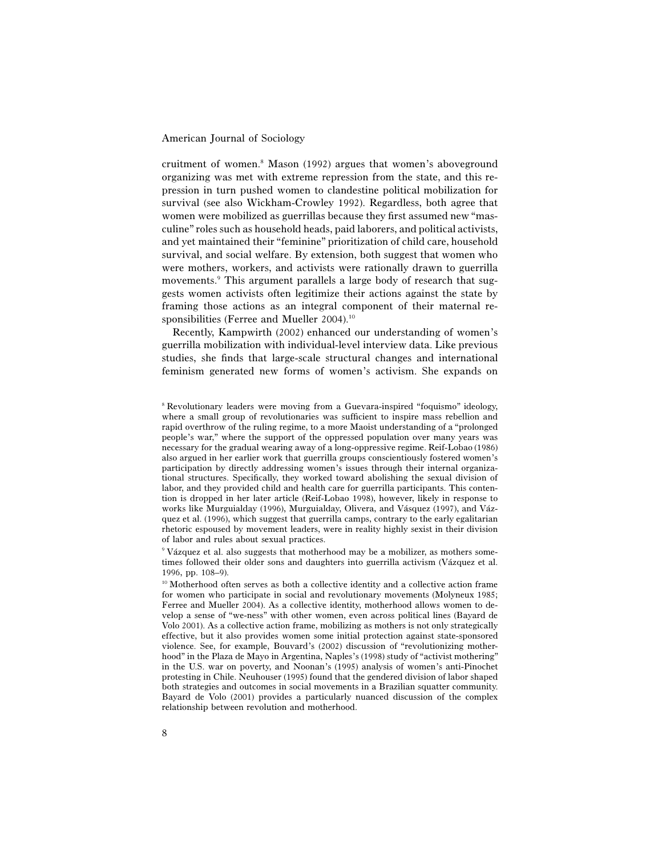cruitment of women.<sup>8</sup> Mason (1992) argues that women's above ground organizing was met with extreme repression from the state, and this repression in turn pushed women to clandestine political mobilization for survival (see also Wickham-Crowley 1992). Regardless, both agree that women were mobilized as guerrillas because they first assumed new "masculine" roles such as household heads, paid laborers, and political activists, and yet maintained their "feminine" prioritization of child care, household survival, and social welfare. By extension, both suggest that women who were mothers, workers, and activists were rationally drawn to guerrilla movements.<sup>9</sup> This argument parallels a large body of research that suggests women activists often legitimize their actions against the state by framing those actions as an integral component of their maternal responsibilities (Ferree and Mueller 2004).<sup>10</sup>

Recently, Kampwirth (2002) enhanced our understanding of women's guerrilla mobilization with individual-level interview data. Like previous studies, she finds that large-scale structural changes and international feminism generated new forms of women's activism. She expands on

 $9$  Vázquez et al. also suggests that motherhood may be a mobilizer, as mothers sometimes followed their older sons and daughters into guerrilla activism (Vázquez et al. 1996, pp. 108–9).

<sup>8</sup> Revolutionary leaders were moving from a Guevara-inspired "foquismo" ideology, where a small group of revolutionaries was sufficient to inspire mass rebellion and rapid overthrow of the ruling regime, to a more Maoist understanding of a "prolonged people's war," where the support of the oppressed population over many years was necessary for the gradual wearing away of a long-oppressive regime. Reif-Lobao (1986) also argued in her earlier work that guerrilla groups conscientiously fostered women's participation by directly addressing women's issues through their internal organizational structures. Specifically, they worked toward abolishing the sexual division of labor, and they provided child and health care for guerrilla participants. This contention is dropped in her later article (Reif-Lobao 1998), however, likely in response to works like Murguialday (1996), Murguialday, Olivera, and Vásquez (1997), and Vázquez et al. (1996), which suggest that guerrilla camps, contrary to the early egalitarian rhetoric espoused by movement leaders, were in reality highly sexist in their division of labor and rules about sexual practices.

<sup>&</sup>lt;sup>10</sup> Motherhood often serves as both a collective identity and a collective action frame for women who participate in social and revolutionary movements (Molyneux 1985; Ferree and Mueller 2004). As a collective identity, motherhood allows women to develop a sense of "we-ness" with other women, even across political lines (Bayard de Volo 2001). As a collective action frame, mobilizing as mothers is not only strategically effective, but it also provides women some initial protection against state-sponsored violence. See, for example, Bouvard's (2002) discussion of "revolutionizing motherhood" in the Plaza de Mayo in Argentina, Naples's (1998) study of "activist mothering" in the U.S. war on poverty, and Noonan's (1995) analysis of women's anti-Pinochet protesting in Chile. Neuhouser (1995) found that the gendered division of labor shaped both strategies and outcomes in social movements in a Brazilian squatter community. Bayard de Volo (2001) provides a particularly nuanced discussion of the complex relationship between revolution and motherhood.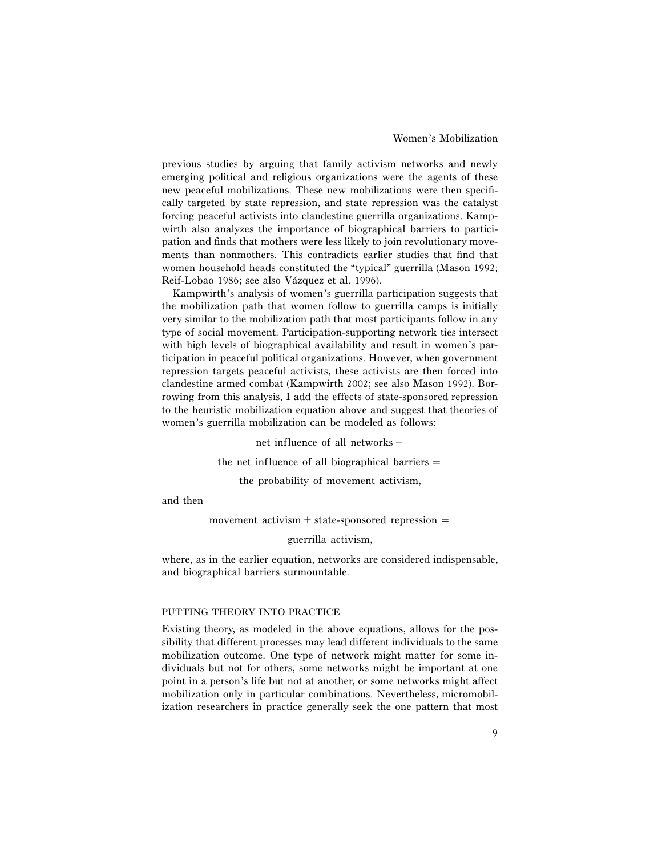#### Women's Mobilization

previous studies by arguing that family activism networks and newly emerging political and religious organizations were the agents of these new peaceful mobilizations. These new mobilizations were then specifically targeted by state repression, and state repression was the catalyst forcing peaceful activists into clandestine guerrilla organizations. Kampwirth also analyzes the importance of biographical barriers to participation and finds that mothers were less likely to join revolutionary movements than nonmothers. This contradicts earlier studies that find that women household heads constituted the "typical" guerrilla (Mason 1992; Reif-Lobao 1986; see also Vázquez et al. 1996).

Kampwirth's analysis of women's guerrilla participation suggests that the mobilization path that women follow to guerrilla camps is initially very similar to the mobilization path that most participants follow in any type of social movement. Participation-supporting network ties intersect with high levels of biographical availability and result in women's participation in peaceful political organizations. However, when government repression targets peaceful activists, these activists are then forced into clandestine armed combat (Kampwirth 2002; see also Mason 1992). Borrowing from this analysis, I add the effects of state-sponsored repression to the heuristic mobilization equation above and suggest that theories of women's guerrilla mobilization can be modeled as follows:

net influence of all networks

the net influence of all biographical barriers  $=$ 

the probability of movement activism,

and then

 $m\nu$  movement activism + state-sponsored repression =

guerrilla activism,

where, as in the earlier equation, networks are considered indispensable, and biographical barriers surmountable.

## PUTTING THEORY INTO PRACTICE

Existing theory, as modeled in the above equations, allows for the possibility that different processes may lead different individuals to the same mobilization outcome. One type of network might matter for some individuals but not for others, some networks might be important at one point in a person's life but not at another, or some networks might affect mobilization only in particular combinations. Nevertheless, micromobilization researchers in practice generally seek the one pattern that most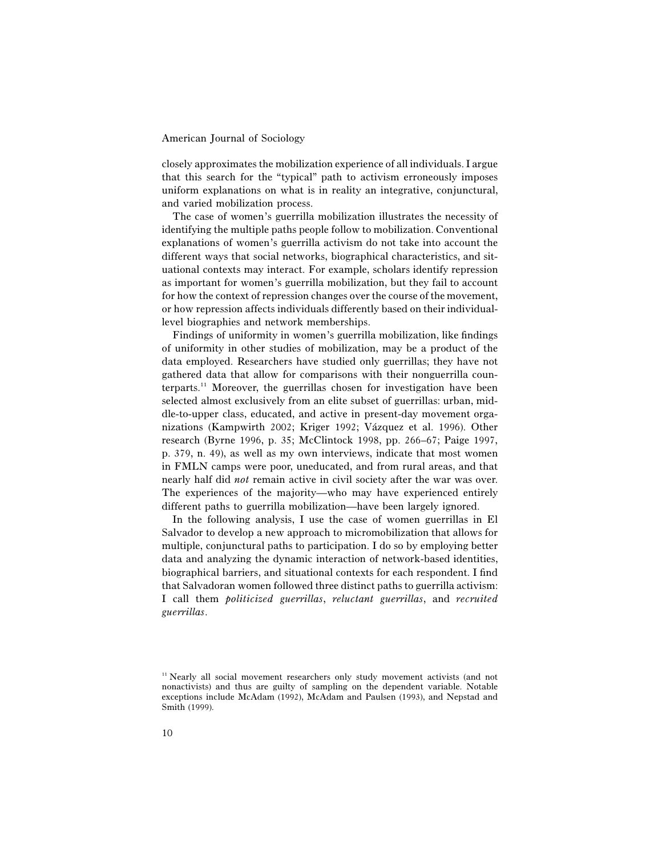closely approximates the mobilization experience of all individuals. I argue that this search for the "typical" path to activism erroneously imposes uniform explanations on what is in reality an integrative, conjunctural, and varied mobilization process.

The case of women's guerrilla mobilization illustrates the necessity of identifying the multiple paths people follow to mobilization. Conventional explanations of women's guerrilla activism do not take into account the different ways that social networks, biographical characteristics, and situational contexts may interact. For example, scholars identify repression as important for women's guerrilla mobilization, but they fail to account for how the context of repression changes over the course of the movement, or how repression affects individuals differently based on their individuallevel biographies and network memberships.

Findings of uniformity in women's guerrilla mobilization, like findings of uniformity in other studies of mobilization, may be a product of the data employed. Researchers have studied only guerrillas; they have not gathered data that allow for comparisons with their nonguerrilla counterparts.<sup>11</sup> Moreover, the guerrillas chosen for investigation have been selected almost exclusively from an elite subset of guerrillas: urban, middle-to-upper class, educated, and active in present-day movement organizations (Kampwirth 2002; Kriger 1992; Vázquez et al. 1996). Other research (Byrne 1996, p. 35; McClintock 1998, pp. 266–67; Paige 1997, p. 379, n. 49), as well as my own interviews, indicate that most women in FMLN camps were poor, uneducated, and from rural areas, and that nearly half did *not* remain active in civil society after the war was over. The experiences of the majority—who may have experienced entirely different paths to guerrilla mobilization—have been largely ignored.

In the following analysis, I use the case of women guerrillas in El Salvador to develop a new approach to micromobilization that allows for multiple, conjunctural paths to participation. I do so by employing better data and analyzing the dynamic interaction of network-based identities, biographical barriers, and situational contexts for each respondent. I find that Salvadoran women followed three distinct paths to guerrilla activism: I call them *politicized guerrillas*, *reluctant guerrillas*, and *recruited guerrillas*.

<sup>&</sup>lt;sup>11</sup> Nearly all social movement researchers only study movement activists (and not nonactivists) and thus are guilty of sampling on the dependent variable. Notable exceptions include McAdam (1992), McAdam and Paulsen (1993), and Nepstad and Smith (1999).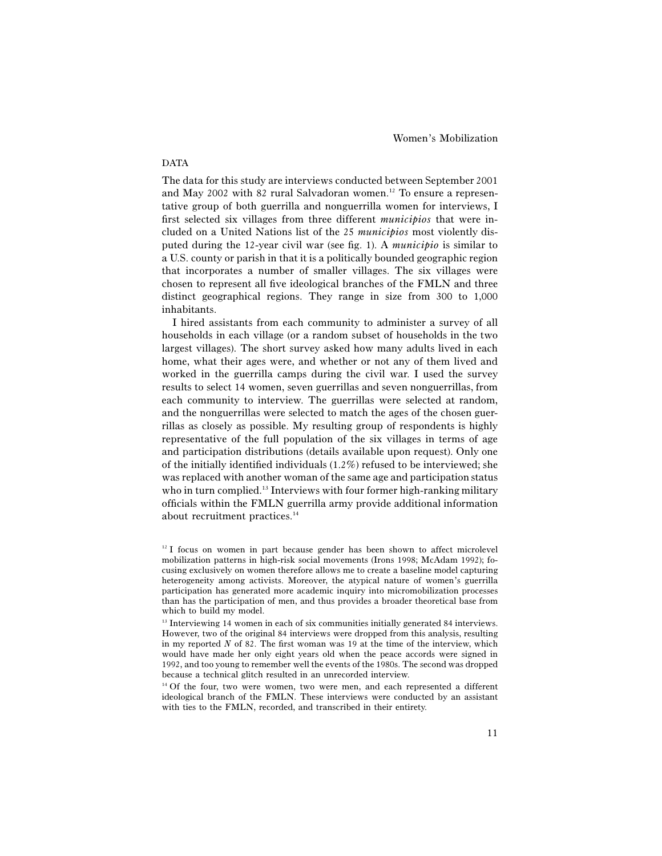## DATA

The data for this study are interviews conducted between September 2001 and May 2002 with 82 rural Salvadoran women.<sup>12</sup> To ensure a representative group of both guerrilla and nonguerrilla women for interviews, I first selected six villages from three different *municipios* that were included on a United Nations list of the 25 *municipios* most violently disputed during the 12-year civil war (see fig. 1). A *municipio* is similar to a U.S. county or parish in that it is a politically bounded geographic region that incorporates a number of smaller villages. The six villages were chosen to represent all five ideological branches of the FMLN and three distinct geographical regions. They range in size from 300 to 1,000 inhabitants.

I hired assistants from each community to administer a survey of all households in each village (or a random subset of households in the two largest villages). The short survey asked how many adults lived in each home, what their ages were, and whether or not any of them lived and worked in the guerrilla camps during the civil war. I used the survey results to select 14 women, seven guerrillas and seven nonguerrillas, from each community to interview. The guerrillas were selected at random, and the nonguerrillas were selected to match the ages of the chosen guerrillas as closely as possible. My resulting group of respondents is highly representative of the full population of the six villages in terms of age and participation distributions (details available upon request). Only one of the initially identified individuals (1.2%) refused to be interviewed; she was replaced with another woman of the same age and participation status who in turn complied.<sup>13</sup> Interviews with four former high-ranking military officials within the FMLN guerrilla army provide additional information about recruitment practices.<sup>14</sup>

<sup>14</sup> Of the four, two were women, two were men, and each represented a different ideological branch of the FMLN. These interviews were conducted by an assistant with ties to the FMLN, recorded, and transcribed in their entirety.

 $12$  I focus on women in part because gender has been shown to affect microlevel mobilization patterns in high-risk social movements (Irons 1998; McAdam 1992); focusing exclusively on women therefore allows me to create a baseline model capturing heterogeneity among activists. Moreover, the atypical nature of women's guerrilla participation has generated more academic inquiry into micromobilization processes than has the participation of men, and thus provides a broader theoretical base from which to build my model.

<sup>&</sup>lt;sup>13</sup> Interviewing 14 women in each of six communities initially generated 84 interviews. However, two of the original 84 interviews were dropped from this analysis, resulting in my reported *N* of 82. The first woman was 19 at the time of the interview, which would have made her only eight years old when the peace accords were signed in 1992, and too young to remember well the events of the 1980s. The second was dropped because a technical glitch resulted in an unrecorded interview.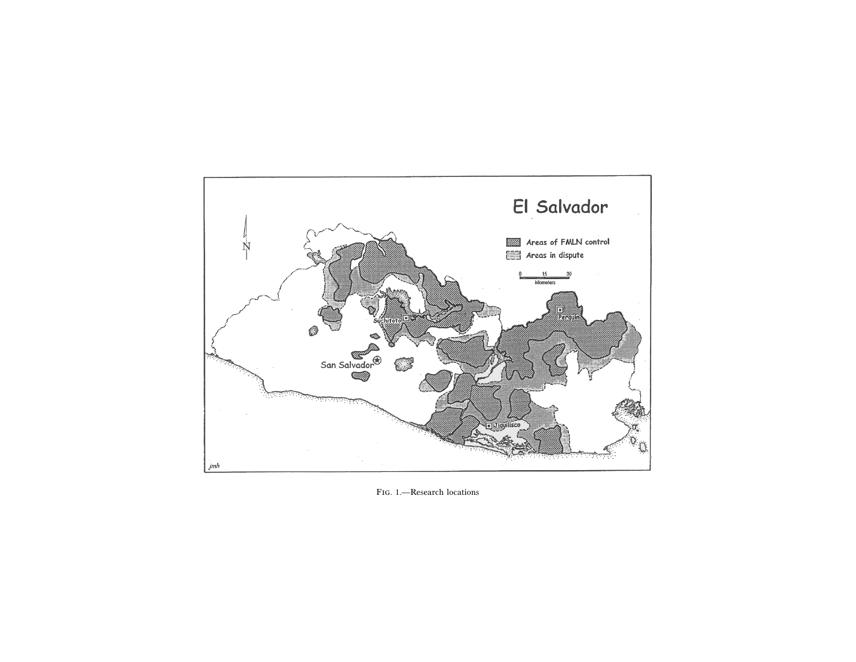

Fig. 1.—Research locations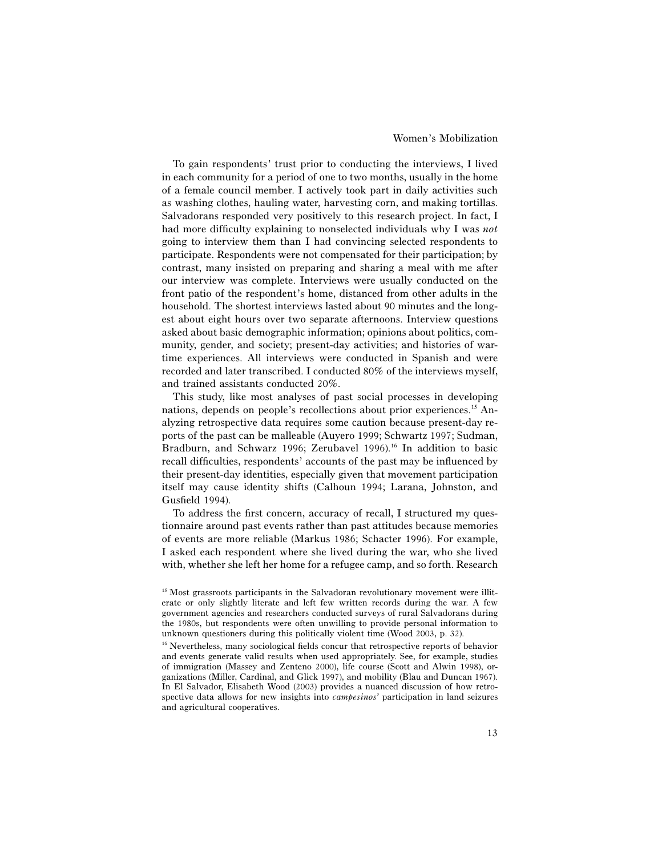#### Women's Mobilization

To gain respondents' trust prior to conducting the interviews, I lived in each community for a period of one to two months, usually in the home of a female council member. I actively took part in daily activities such as washing clothes, hauling water, harvesting corn, and making tortillas. Salvadorans responded very positively to this research project. In fact, I had more difficulty explaining to nonselected individuals why I was *not* going to interview them than I had convincing selected respondents to participate. Respondents were not compensated for their participation; by contrast, many insisted on preparing and sharing a meal with me after our interview was complete. Interviews were usually conducted on the front patio of the respondent's home, distanced from other adults in the household. The shortest interviews lasted about 90 minutes and the longest about eight hours over two separate afternoons. Interview questions asked about basic demographic information; opinions about politics, community, gender, and society; present-day activities; and histories of wartime experiences. All interviews were conducted in Spanish and were recorded and later transcribed. I conducted 80% of the interviews myself, and trained assistants conducted 20%.

This study, like most analyses of past social processes in developing nations, depends on people's recollections about prior experiences.15 Analyzing retrospective data requires some caution because present-day reports of the past can be malleable (Auyero 1999; Schwartz 1997; Sudman, Bradburn, and Schwarz 1996; Zerubavel 1996).<sup>16</sup> In addition to basic recall difficulties, respondents' accounts of the past may be influenced by their present-day identities, especially given that movement participation itself may cause identity shifts (Calhoun 1994; Larana, Johnston, and Gusfield 1994).

To address the first concern, accuracy of recall, I structured my questionnaire around past events rather than past attitudes because memories of events are more reliable (Markus 1986; Schacter 1996). For example, I asked each respondent where she lived during the war, who she lived with, whether she left her home for a refugee camp, and so forth. Research

<sup>&</sup>lt;sup>15</sup> Most grassroots participants in the Salvadoran revolutionary movement were illiterate or only slightly literate and left few written records during the war. A few government agencies and researchers conducted surveys of rural Salvadorans during the 1980s, but respondents were often unwilling to provide personal information to unknown questioners during this politically violent time (Wood 2003, p. 32).

<sup>&</sup>lt;sup>16</sup> Nevertheless, many sociological fields concur that retrospective reports of behavior and events generate valid results when used appropriately. See, for example, studies of immigration (Massey and Zenteno 2000), life course (Scott and Alwin 1998), organizations (Miller, Cardinal, and Glick 1997), and mobility (Blau and Duncan 1967). In El Salvador, Elisabeth Wood (2003) provides a nuanced discussion of how retrospective data allows for new insights into *campesinos'* participation in land seizures and agricultural cooperatives.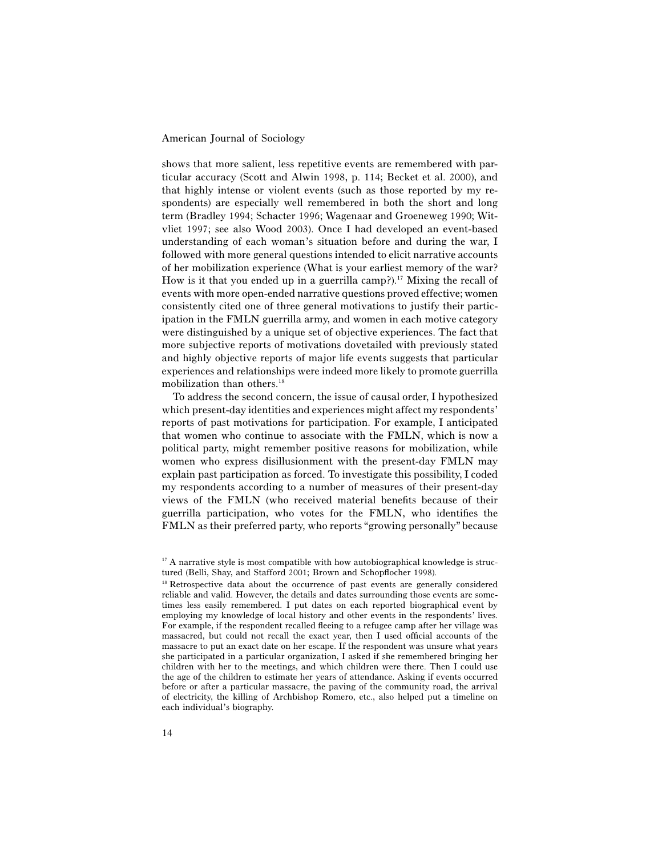shows that more salient, less repetitive events are remembered with particular accuracy (Scott and Alwin 1998, p. 114; Becket et al. 2000), and that highly intense or violent events (such as those reported by my respondents) are especially well remembered in both the short and long term (Bradley 1994; Schacter 1996; Wagenaar and Groeneweg 1990; Witvliet 1997; see also Wood 2003). Once I had developed an event-based understanding of each woman's situation before and during the war, I followed with more general questions intended to elicit narrative accounts of her mobilization experience (What is your earliest memory of the war? How is it that you ended up in a guerrilla camp?).<sup>17</sup> Mixing the recall of events with more open-ended narrative questions proved effective; women consistently cited one of three general motivations to justify their participation in the FMLN guerrilla army, and women in each motive category were distinguished by a unique set of objective experiences. The fact that more subjective reports of motivations dovetailed with previously stated and highly objective reports of major life events suggests that particular experiences and relationships were indeed more likely to promote guerrilla mobilization than others.<sup>18</sup>

To address the second concern, the issue of causal order, I hypothesized which present-day identities and experiences might affect my respondents' reports of past motivations for participation. For example, I anticipated that women who continue to associate with the FMLN, which is now a political party, might remember positive reasons for mobilization, while women who express disillusionment with the present-day FMLN may explain past participation as forced. To investigate this possibility, I coded my respondents according to a number of measures of their present-day views of the FMLN (who received material benefits because of their guerrilla participation, who votes for the FMLN, who identifies the FMLN as their preferred party, who reports "growing personally" because

<sup>&</sup>lt;sup>17</sup> A narrative style is most compatible with how autobiographical knowledge is structured (Belli, Shay, and Stafford 2001; Brown and Schopflocher 1998).

<sup>&</sup>lt;sup>18</sup> Retrospective data about the occurrence of past events are generally considered reliable and valid. However, the details and dates surrounding those events are sometimes less easily remembered. I put dates on each reported biographical event by employing my knowledge of local history and other events in the respondents' lives. For example, if the respondent recalled fleeing to a refugee camp after her village was massacred, but could not recall the exact year, then I used official accounts of the massacre to put an exact date on her escape. If the respondent was unsure what years she participated in a particular organization, I asked if she remembered bringing her children with her to the meetings, and which children were there. Then I could use the age of the children to estimate her years of attendance. Asking if events occurred before or after a particular massacre, the paving of the community road, the arrival of electricity, the killing of Archbishop Romero, etc., also helped put a timeline on each individual's biography.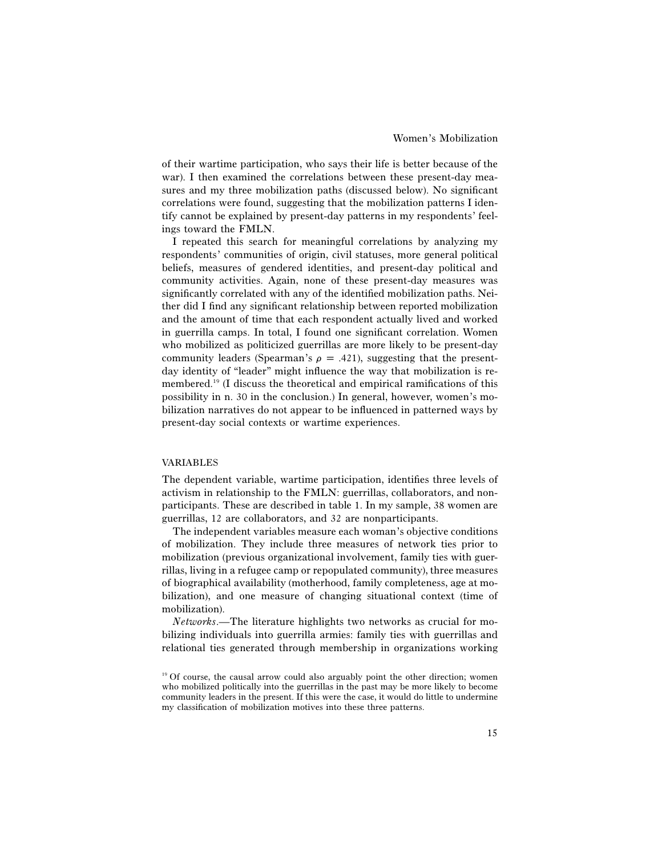of their wartime participation, who says their life is better because of the war). I then examined the correlations between these present-day measures and my three mobilization paths (discussed below). No significant correlations were found, suggesting that the mobilization patterns I identify cannot be explained by present-day patterns in my respondents' feelings toward the FMLN.

I repeated this search for meaningful correlations by analyzing my respondents' communities of origin, civil statuses, more general political beliefs, measures of gendered identities, and present-day political and community activities. Again, none of these present-day measures was significantly correlated with any of the identified mobilization paths. Neither did I find any significant relationship between reported mobilization and the amount of time that each respondent actually lived and worked in guerrilla camps. In total, I found one significant correlation. Women who mobilized as politicized guerrillas are more likely to be present-day community leaders (Spearman's  $\rho = .421$ ), suggesting that the presentday identity of "leader" might influence the way that mobilization is remembered.19 (I discuss the theoretical and empirical ramifications of this possibility in n. 30 in the conclusion.) In general, however, women's mobilization narratives do not appear to be influenced in patterned ways by present-day social contexts or wartime experiences.

## VARIABLES

The dependent variable, wartime participation, identifies three levels of activism in relationship to the FMLN: guerrillas, collaborators, and nonparticipants. These are described in table 1. In my sample, 38 women are guerrillas, 12 are collaborators, and 32 are nonparticipants.

The independent variables measure each woman's objective conditions of mobilization. They include three measures of network ties prior to mobilization (previous organizational involvement, family ties with guerrillas, living in a refugee camp or repopulated community), three measures of biographical availability (motherhood, family completeness, age at mobilization), and one measure of changing situational context (time of mobilization).

*Networks*.—The literature highlights two networks as crucial for mobilizing individuals into guerrilla armies: family ties with guerrillas and relational ties generated through membership in organizations working

<sup>&</sup>lt;sup>19</sup> Of course, the causal arrow could also arguably point the other direction; women who mobilized politically into the guerrillas in the past may be more likely to become community leaders in the present. If this were the case, it would do little to undermine my classification of mobilization motives into these three patterns.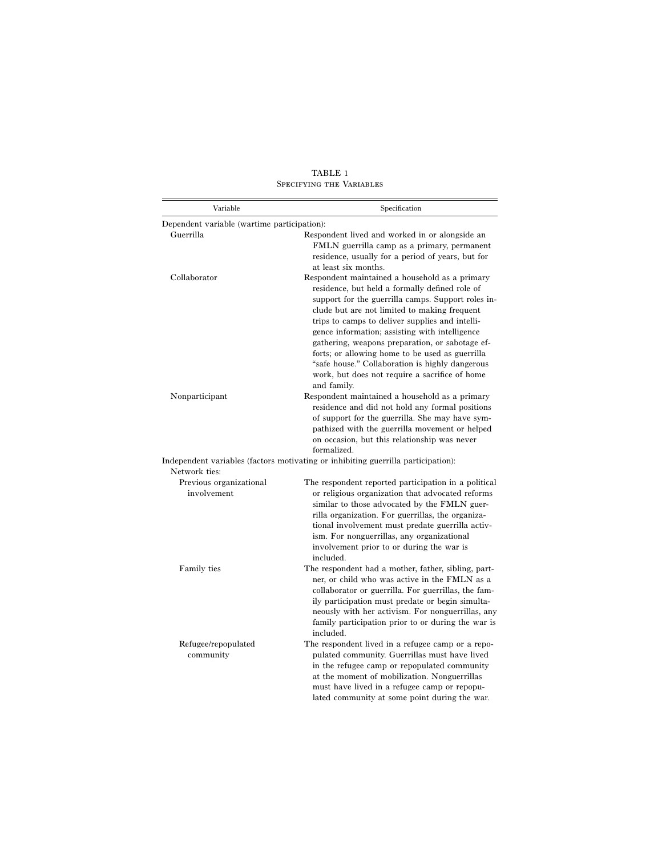| TABLE 1                  |  |  |  |  |  |  |
|--------------------------|--|--|--|--|--|--|
| SPECIFYING THE VARIABLES |  |  |  |  |  |  |

| Variable                                      | Specification                                                                                                                                                                                                                                                                                                                                                                                                                                                                                                                         |
|-----------------------------------------------|---------------------------------------------------------------------------------------------------------------------------------------------------------------------------------------------------------------------------------------------------------------------------------------------------------------------------------------------------------------------------------------------------------------------------------------------------------------------------------------------------------------------------------------|
| Dependent variable (wartime participation):   |                                                                                                                                                                                                                                                                                                                                                                                                                                                                                                                                       |
| Guerrilla                                     | Respondent lived and worked in or alongside an<br>FMLN guerrilla camp as a primary, permanent<br>residence, usually for a period of years, but for<br>at least six months.                                                                                                                                                                                                                                                                                                                                                            |
| Collaborator                                  | Respondent maintained a household as a primary<br>residence, but held a formally defined role of<br>support for the guerrilla camps. Support roles in-<br>clude but are not limited to making frequent<br>trips to camps to deliver supplies and intelli-<br>gence information; assisting with intelligence<br>gathering, weapons preparation, or sabotage ef-<br>forts; or allowing home to be used as guerrilla<br>"safe house." Collaboration is highly dangerous<br>work, but does not require a sacrifice of home<br>and family. |
| Nonparticipant                                | Respondent maintained a household as a primary<br>residence and did not hold any formal positions<br>of support for the guerrilla. She may have sym-<br>pathized with the guerrilla movement or helped<br>on occasion, but this relationship was never<br>formalized.                                                                                                                                                                                                                                                                 |
| Network ties:                                 | Independent variables (factors motivating or inhibiting guerrilla participation):                                                                                                                                                                                                                                                                                                                                                                                                                                                     |
| Previous organizational<br><i>involvement</i> | The respondent reported participation in a political<br>or religious organization that advocated reforms<br>similar to those advocated by the FMLN guer-<br>rilla organization. For guerrillas, the organiza-<br>tional involvement must predate guerrilla activ-<br>ism. For nonguerrillas, any organizational<br>involvement prior to or during the war is<br>included.                                                                                                                                                             |
| Family ties                                   | The respondent had a mother, father, sibling, part-<br>ner, or child who was active in the FMLN as a<br>collaborator or guerrilla. For guerrillas, the fam-<br>ily participation must predate or begin simulta-<br>neously with her activism. For nonguerrillas, any<br>family participation prior to or during the war is<br>included.                                                                                                                                                                                               |
| Refugee/repopulated<br>community              | The respondent lived in a refugee camp or a repo-<br>pulated community. Guerrillas must have lived<br>in the refugee camp or repopulated community<br>at the moment of mobilization. Nonguerrillas<br>must have lived in a refugee camp or repopu-<br>lated community at some point during the war.                                                                                                                                                                                                                                   |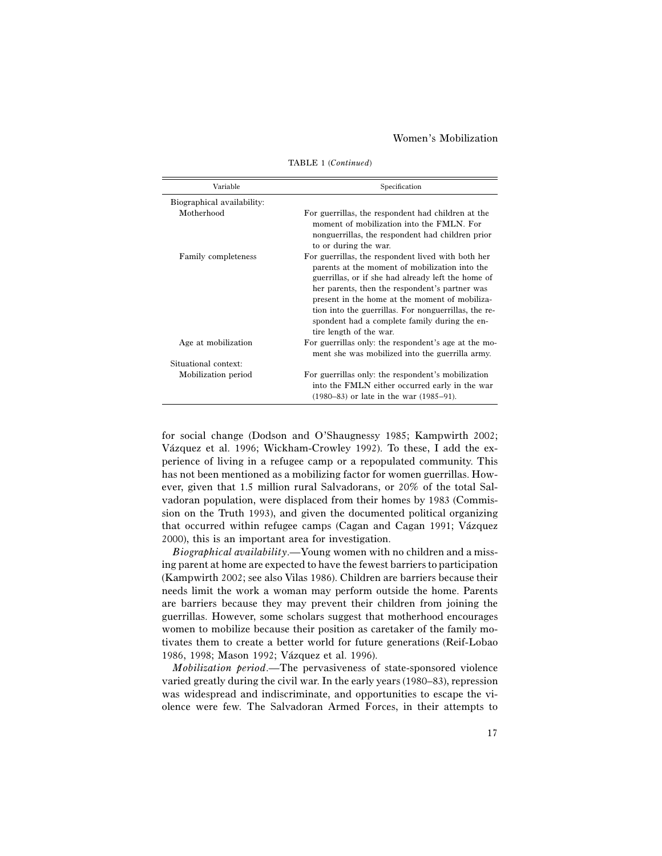| Variable                   | Specification                                                                                                                                                                                                                                                                                                                                                                                      |
|----------------------------|----------------------------------------------------------------------------------------------------------------------------------------------------------------------------------------------------------------------------------------------------------------------------------------------------------------------------------------------------------------------------------------------------|
| Biographical availability: |                                                                                                                                                                                                                                                                                                                                                                                                    |
| Motherhood                 | For guerrillas, the respondent had children at the<br>moment of mobilization into the FMLN. For<br>nonguerrillas, the respondent had children prior<br>to or during the war.                                                                                                                                                                                                                       |
| Family completeness        | For guerrillas, the respondent lived with both her<br>parents at the moment of mobilization into the<br>guerrillas, or if she had already left the home of<br>her parents, then the respondent's partner was<br>present in the home at the moment of mobiliza-<br>tion into the guerrillas. For nonguerrillas, the re-<br>spondent had a complete family during the en-<br>tire length of the war. |
| Age at mobilization        | For guerrillas only: the respondent's age at the mo-<br>ment she was mobilized into the guerrilla army.                                                                                                                                                                                                                                                                                            |
| Situational context:       |                                                                                                                                                                                                                                                                                                                                                                                                    |
| Mobilization period        | For guerrillas only: the respondent's mobilization<br>into the FMLN either occurred early in the war<br>$(1980-83)$ or late in the war $(1985-91)$ .                                                                                                                                                                                                                                               |

TABLE 1 (*Continued*)

for social change (Dodson and O'Shaugnessy 1985; Kampwirth 2002; Vázquez et al. 1996; Wickham-Crowley 1992). To these, I add the experience of living in a refugee camp or a repopulated community. This has not been mentioned as a mobilizing factor for women guerrillas. However, given that 1.5 million rural Salvadorans, or 20% of the total Salvadoran population, were displaced from their homes by 1983 (Commission on the Truth 1993), and given the documented political organizing that occurred within refugee camps (Cagan and Cagan 1991; Vázquez 2000), this is an important area for investigation.

*Biographical availability*.—Young women with no children and a missing parent at home are expected to have the fewest barriers to participation (Kampwirth 2002; see also Vilas 1986). Children are barriers because their needs limit the work a woman may perform outside the home. Parents are barriers because they may prevent their children from joining the guerrillas. However, some scholars suggest that motherhood encourages women to mobilize because their position as caretaker of the family motivates them to create a better world for future generations (Reif-Lobao 1986, 1998; Mason 1992; Vázquez et al. 1996).

*Mobilization period*.—The pervasiveness of state-sponsored violence varied greatly during the civil war. In the early years (1980–83), repression was widespread and indiscriminate, and opportunities to escape the violence were few. The Salvadoran Armed Forces, in their attempts to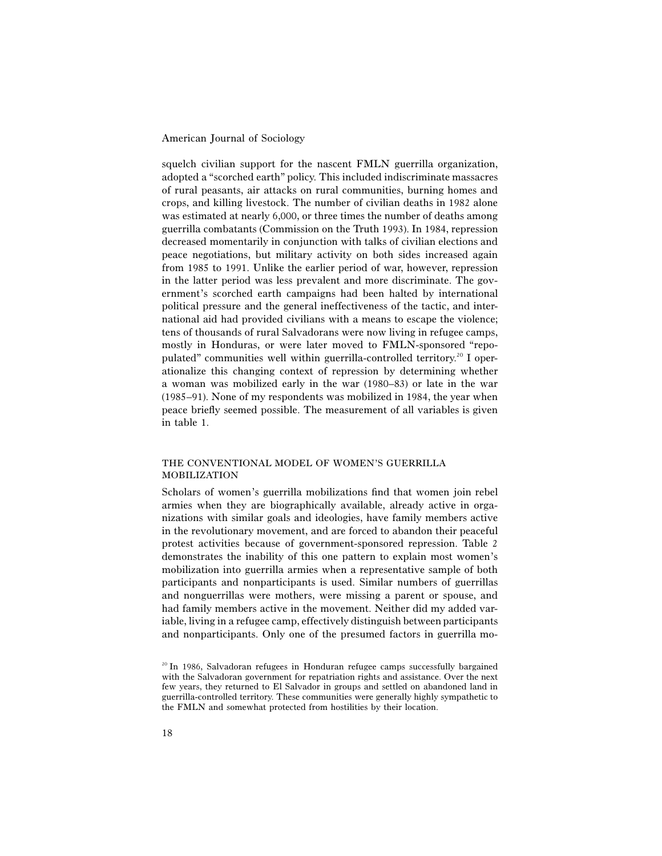squelch civilian support for the nascent FMLN guerrilla organization, adopted a "scorched earth" policy. This included indiscriminate massacres of rural peasants, air attacks on rural communities, burning homes and crops, and killing livestock. The number of civilian deaths in 1982 alone was estimated at nearly 6,000, or three times the number of deaths among guerrilla combatants (Commission on the Truth 1993). In 1984, repression decreased momentarily in conjunction with talks of civilian elections and peace negotiations, but military activity on both sides increased again from 1985 to 1991. Unlike the earlier period of war, however, repression in the latter period was less prevalent and more discriminate. The government's scorched earth campaigns had been halted by international political pressure and the general ineffectiveness of the tactic, and international aid had provided civilians with a means to escape the violence; tens of thousands of rural Salvadorans were now living in refugee camps, mostly in Honduras, or were later moved to FMLN-sponsored "repopulated" communities well within guerrilla-controlled territory.<sup>20</sup> I operationalize this changing context of repression by determining whether a woman was mobilized early in the war (1980–83) or late in the war (1985–91). None of my respondents was mobilized in 1984, the year when peace briefly seemed possible. The measurement of all variables is given in table 1.

## THE CONVENTIONAL MODEL OF WOMEN'S GUERRILLA MOBILIZATION

Scholars of women's guerrilla mobilizations find that women join rebel armies when they are biographically available, already active in organizations with similar goals and ideologies, have family members active in the revolutionary movement, and are forced to abandon their peaceful protest activities because of government-sponsored repression. Table 2 demonstrates the inability of this one pattern to explain most women's mobilization into guerrilla armies when a representative sample of both participants and nonparticipants is used. Similar numbers of guerrillas and nonguerrillas were mothers, were missing a parent or spouse, and had family members active in the movement. Neither did my added variable, living in a refugee camp, effectively distinguish between participants and nonparticipants. Only one of the presumed factors in guerrilla mo-

<sup>&</sup>lt;sup>20</sup> In 1986, Salvadoran refugees in Honduran refugee camps successfully bargained with the Salvadoran government for repatriation rights and assistance. Over the next few years, they returned to El Salvador in groups and settled on abandoned land in guerrilla-controlled territory. These communities were generally highly sympathetic to the FMLN and somewhat protected from hostilities by their location.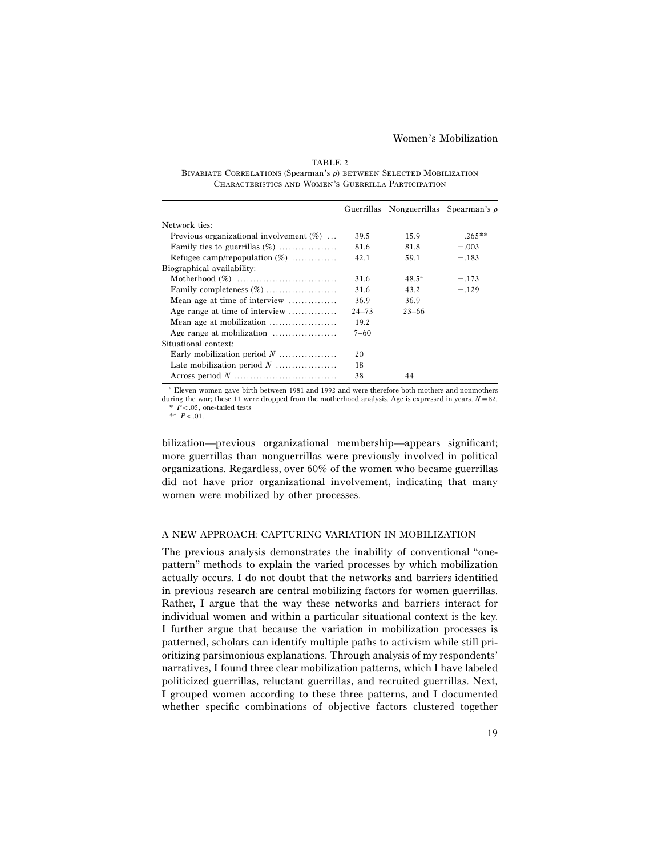#### TABLE 2

BIVARIATE CORRELATIONS (Spearman's  $\rho$ ) between Selected Mobilization Characteristics and Women's Guerrilla Participation

|                                                       |           | Guerrillas Nonguerrillas Spearman's $\rho$ |          |
|-------------------------------------------------------|-----------|--------------------------------------------|----------|
| Network ties:                                         |           |                                            |          |
| Previous organizational involvement $(\%)$            | 39.5      | 15.9                                       | $.265**$ |
| Family ties to guerrillas $(\%)$                      | 81.6      | 81.8                                       | $-.003$  |
| Refugee camp/repopulation $(\%)$                      | 42.1      | 59.1                                       | $-.183$  |
| Biographical availability:                            |           |                                            |          |
|                                                       | 31.6      | $48.5^{\circ}$                             | $-.173$  |
| Family completeness $(\%)$                            | 31.6      | 43.2                                       | $-.129$  |
| Mean age at time of interview                         | 36.9      | 36.9                                       |          |
| Age range at time of interview $\dots\dots\dots\dots$ | $24 - 73$ | $23 - 66$                                  |          |
| Mean age at mobilization                              | 19.2      |                                            |          |
|                                                       | $7 - 60$  |                                            |          |
| Situational context:                                  |           |                                            |          |
| Early mobilization period $N$                         | 20        |                                            |          |
| Late mobilization period $N$                          | 18        |                                            |          |
|                                                       | 38        | 44                                         |          |

<sup>a</sup> Eleven women gave birth between 1981 and 1992 and were therefore both mothers and nonmothers during the war; these 11 were dropped from the motherhood analysis. Age is expressed in years.  $N=82$ . \*  $\widetilde{P}$  < .05, one-tailed tests

 $*$   $P < .01$ .

bilization—previous organizational membership—appears significant; more guerrillas than nonguerrillas were previously involved in political organizations. Regardless, over 60% of the women who became guerrillas did not have prior organizational involvement, indicating that many women were mobilized by other processes.

## A NEW APPROACH: CAPTURING VARIATION IN MOBILIZATION

The previous analysis demonstrates the inability of conventional "onepattern" methods to explain the varied processes by which mobilization actually occurs. I do not doubt that the networks and barriers identified in previous research are central mobilizing factors for women guerrillas. Rather, I argue that the way these networks and barriers interact for individual women and within a particular situational context is the key. I further argue that because the variation in mobilization processes is patterned, scholars can identify multiple paths to activism while still prioritizing parsimonious explanations. Through analysis of my respondents' narratives, I found three clear mobilization patterns, which I have labeled politicized guerrillas, reluctant guerrillas, and recruited guerrillas. Next, I grouped women according to these three patterns, and I documented whether specific combinations of objective factors clustered together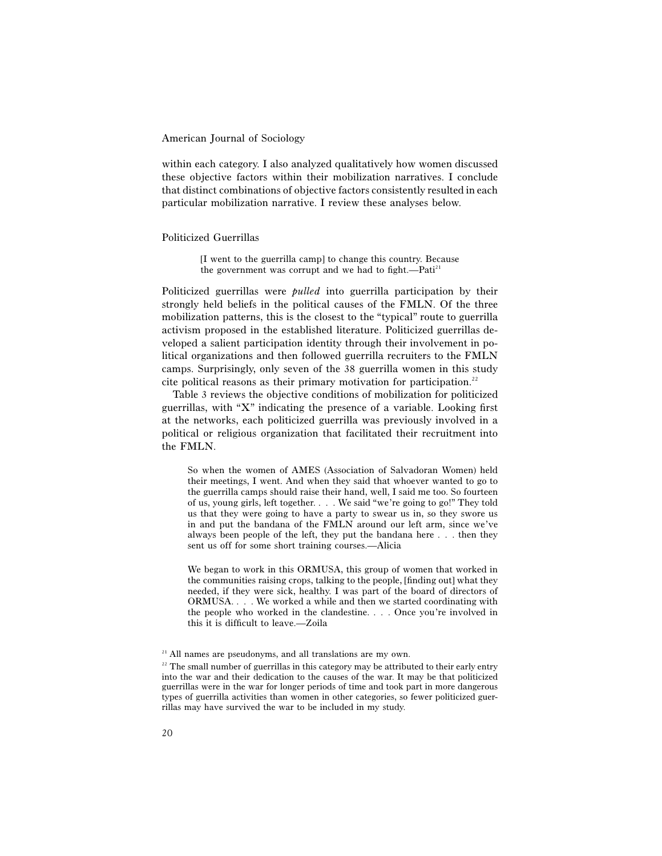within each category. I also analyzed qualitatively how women discussed these objective factors within their mobilization narratives. I conclude that distinct combinations of objective factors consistently resulted in each particular mobilization narrative. I review these analyses below.

## Politicized Guerrillas

[I went to the guerrilla camp] to change this country. Because the government was corrupt and we had to fight.—Pati<sup>21</sup>

Politicized guerrillas were *pulled* into guerrilla participation by their strongly held beliefs in the political causes of the FMLN. Of the three mobilization patterns, this is the closest to the "typical" route to guerrilla activism proposed in the established literature. Politicized guerrillas developed a salient participation identity through their involvement in political organizations and then followed guerrilla recruiters to the FMLN camps. Surprisingly, only seven of the 38 guerrilla women in this study cite political reasons as their primary motivation for participation.<sup>22</sup>

Table 3 reviews the objective conditions of mobilization for politicized guerrillas, with " $X$ " indicating the presence of a variable. Looking first at the networks, each politicized guerrilla was previously involved in a political or religious organization that facilitated their recruitment into the FMLN.

So when the women of AMES (Association of Salvadoran Women) held their meetings, I went. And when they said that whoever wanted to go to the guerrilla camps should raise their hand, well, I said me too. So fourteen of us, young girls, left together. . . . We said "we're going to go!" They told us that they were going to have a party to swear us in, so they swore us in and put the bandana of the FMLN around our left arm, since we've always been people of the left, they put the bandana here . . . then they sent us off for some short training courses.—Alicia

We began to work in this ORMUSA, this group of women that worked in the communities raising crops, talking to the people, [finding out] what they needed, if they were sick, healthy. I was part of the board of directors of ORMUSA. . . . We worked a while and then we started coordinating with the people who worked in the clandestine. . . . Once you're involved in this it is difficult to leave.—Zoila

<sup>&</sup>lt;sup>21</sup> All names are pseudonyms, and all translations are my own.

 $22$  The small number of guerrillas in this category may be attributed to their early entry into the war and their dedication to the causes of the war. It may be that politicized guerrillas were in the war for longer periods of time and took part in more dangerous types of guerrilla activities than women in other categories, so fewer politicized guerrillas may have survived the war to be included in my study.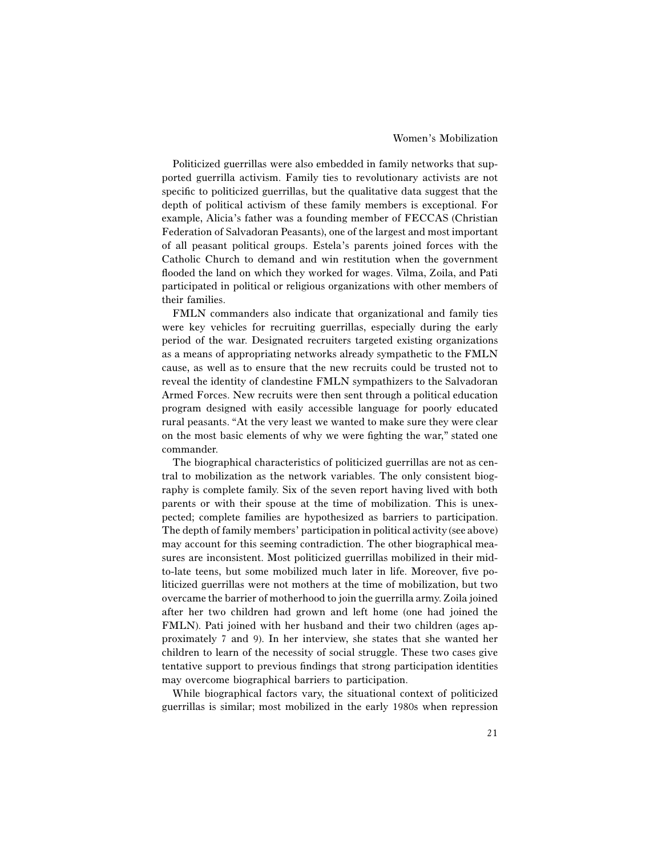## Women's Mobilization

Politicized guerrillas were also embedded in family networks that supported guerrilla activism. Family ties to revolutionary activists are not specific to politicized guerrillas, but the qualitative data suggest that the depth of political activism of these family members is exceptional. For example, Alicia's father was a founding member of FECCAS (Christian Federation of Salvadoran Peasants), one of the largest and most important of all peasant political groups. Estela's parents joined forces with the Catholic Church to demand and win restitution when the government flooded the land on which they worked for wages. Vilma, Zoila, and Pati participated in political or religious organizations with other members of their families.

FMLN commanders also indicate that organizational and family ties were key vehicles for recruiting guerrillas, especially during the early period of the war. Designated recruiters targeted existing organizations as a means of appropriating networks already sympathetic to the FMLN cause, as well as to ensure that the new recruits could be trusted not to reveal the identity of clandestine FMLN sympathizers to the Salvadoran Armed Forces. New recruits were then sent through a political education program designed with easily accessible language for poorly educated rural peasants. "At the very least we wanted to make sure they were clear on the most basic elements of why we were fighting the war," stated one commander.

The biographical characteristics of politicized guerrillas are not as central to mobilization as the network variables. The only consistent biography is complete family. Six of the seven report having lived with both parents or with their spouse at the time of mobilization. This is unexpected; complete families are hypothesized as barriers to participation. The depth of family members' participation in political activity (see above) may account for this seeming contradiction. The other biographical measures are inconsistent. Most politicized guerrillas mobilized in their midto-late teens, but some mobilized much later in life. Moreover, five politicized guerrillas were not mothers at the time of mobilization, but two overcame the barrier of motherhood to join the guerrilla army. Zoila joined after her two children had grown and left home (one had joined the FMLN). Pati joined with her husband and their two children (ages approximately 7 and 9). In her interview, she states that she wanted her children to learn of the necessity of social struggle. These two cases give tentative support to previous findings that strong participation identities may overcome biographical barriers to participation.

While biographical factors vary, the situational context of politicized guerrillas is similar; most mobilized in the early 1980s when repression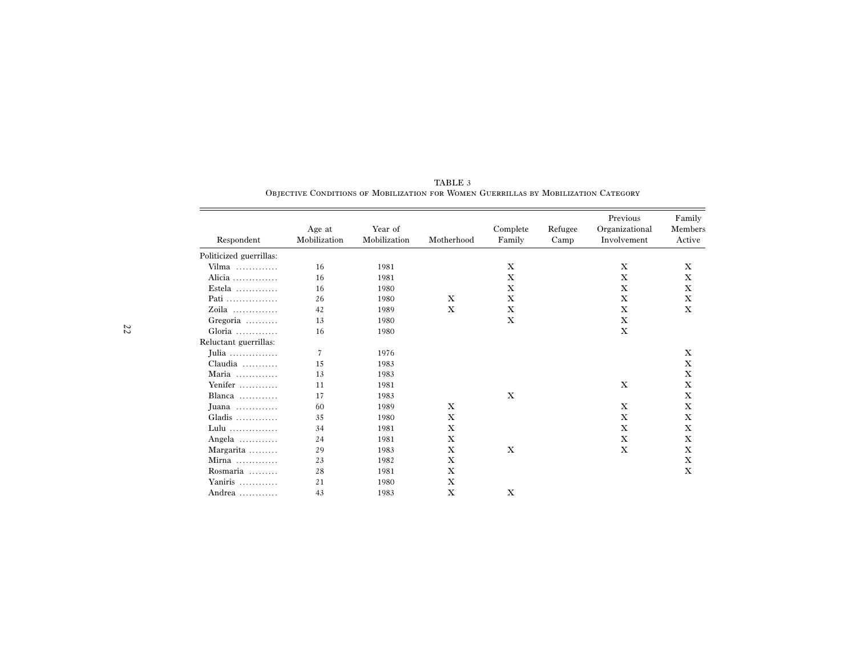| Respondent                    | Age at<br>Mobilization | Year of<br>Mobilization | Motherhood  | Complete<br>Family | Refugee<br>Camp | Previous<br>Organizational<br>Involvement | Family<br>Members<br>Active |
|-------------------------------|------------------------|-------------------------|-------------|--------------------|-----------------|-------------------------------------------|-----------------------------|
| Politicized guerrillas:       |                        |                         |             |                    |                 |                                           |                             |
| Vilma                         | 16                     | 1981                    |             | X                  |                 | X                                         | X                           |
| Alicia                        | 16                     | 1981                    |             | X                  |                 | X                                         | X                           |
| Estela $\dots\dots\dots\dots$ | 16                     | 1980                    |             | $\mathbf X$        |                 | $\mathbf X$                               | $\mathbf X$                 |
| Pati                          | 26                     | 1980                    | X           | $\mathbf X$        |                 | $\mathbf X$                               | $\mathbf X$                 |
| Zoila $\dots\dots\dots\dots$  | 42                     | 1989                    | $\mathbf X$ | $\mathbf X$        |                 | X                                         | $\mathbf X$                 |
| Gregoria                      | 13                     | 1980                    |             | X                  |                 | X                                         |                             |
| Gloria                        | 16                     | 1980                    |             |                    |                 | X                                         |                             |
| Reluctant guerrillas:         |                        |                         |             |                    |                 |                                           |                             |
| Julia                         | 7                      | 1976                    |             |                    |                 |                                           | $\mathbf X$                 |
| $Claudia$                     | 15                     | 1983                    |             |                    |                 |                                           | $\mathbf X$                 |
| Maria                         | 13                     | 1983                    |             |                    |                 |                                           | $\mathbf X$                 |
| Yenifer                       | 11                     | 1981                    |             |                    |                 | X                                         | $\mathbf X$                 |
| Blanca $\dots\dots\dots\dots$ | 17                     | 1983                    |             | X                  |                 |                                           | $\mathbf X$                 |
| Juana                         | 60                     | 1989                    | X           |                    |                 | $\mathbf X$                               | $\mathbf X$                 |
| Gladis $\dots\dots\dots\dots$ | 35                     | 1980                    | X           |                    |                 | X                                         | $\mathbf X$                 |
| Lulu                          | 34                     | 1981                    | X           |                    |                 | X                                         | $\mathbf X$                 |
| Angela                        | 24                     | 1981                    | X           |                    |                 | X                                         | X                           |
| Margarita                     | 29                     | 1983                    | X           | X                  |                 | $\mathbf X$                               | $\mathbf X$                 |
| Mirna                         | 23                     | 1982                    | X           |                    |                 |                                           | $\mathbf X$                 |
| Rosmaria                      | 28                     | 1981                    | X           |                    |                 |                                           | $\mathbf X$                 |
| Yaniris                       | 21                     | 1980                    | X           |                    |                 |                                           |                             |
| Andrea                        | 43                     | 1983                    | $\mathbf X$ | X                  |                 |                                           |                             |

TABLE 3 Objective Conditions of Mobilization for Women Guerrillas by Mobilization Category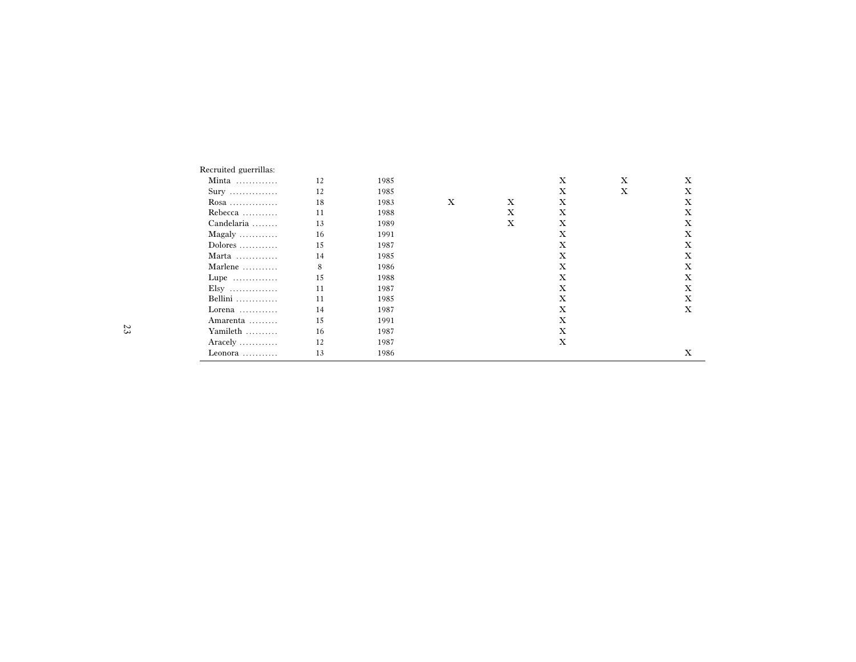| Recruited guerrillas:            |    |      |   |             |           |             |   |
|----------------------------------|----|------|---|-------------|-----------|-------------|---|
| Minta $\dots\dots\dots\dots$     | 12 | 1985 |   |             | X         | $\mathbf x$ | X |
| $Sury$                           | 12 | 1985 |   |             | X         | X           | Х |
| Rosa                             | 18 | 1983 | X | $\mathbf x$ | X         |             | х |
| $Rebecca$                        | 11 | 1988 |   | X           | X         |             | х |
| Candelaria                       | 13 | 1989 |   | x           | х         |             | X |
| $Magaly$                         | 16 | 1991 |   |             | X         |             | X |
| Dolores                          | 15 | 1987 |   |             | X         |             | х |
| Marta $\dots\dots\dots\dots$     | 14 | 1985 |   |             | X         |             | X |
| Marlene                          | 8  | 1986 |   |             | X         |             | х |
| Lupe $\dots\dots\dots\dots\dots$ | 15 | 1988 |   |             | X         |             | х |
| $E$ lsy                          | 11 | 1987 |   |             | X         |             | Х |
| Bellini                          | 11 | 1985 |   |             | X         |             | X |
| Lorena $\dots\dots\dots\dots$    | 14 | 1987 |   |             | X         |             | X |
| Amarenta                         | 15 | 1991 |   |             | X         |             |   |
| Yamileth                         | 16 | 1987 |   |             | $\Lambda$ |             |   |
| Aracely                          | 12 | 1987 |   |             | X         |             |   |
| Leonora $\dots\dots\dots$        | 13 | 1986 |   |             |           |             | х |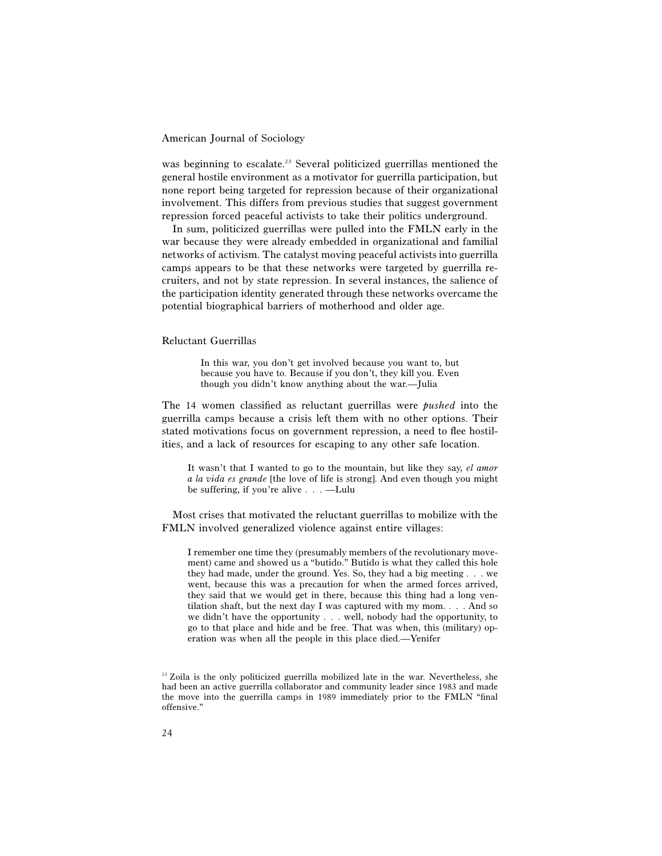was beginning to escalate.<sup>23</sup> Several politicized guerrillas mentioned the general hostile environment as a motivator for guerrilla participation, but none report being targeted for repression because of their organizational involvement. This differs from previous studies that suggest government repression forced peaceful activists to take their politics underground.

In sum, politicized guerrillas were pulled into the FMLN early in the war because they were already embedded in organizational and familial networks of activism. The catalyst moving peaceful activists into guerrilla camps appears to be that these networks were targeted by guerrilla recruiters, and not by state repression. In several instances, the salience of the participation identity generated through these networks overcame the potential biographical barriers of motherhood and older age.

#### Reluctant Guerrillas

In this war, you don't get involved because you want to, but because you have to. Because if you don't, they kill you. Even though you didn't know anything about the war.—Julia

The 14 women classified as reluctant guerrillas were *pushed* into the guerrilla camps because a crisis left them with no other options. Their stated motivations focus on government repression, a need to flee hostilities, and a lack of resources for escaping to any other safe location.

It wasn't that I wanted to go to the mountain, but like they say, *el amor a la vida es grande* [the love of life is strong]. And even though you might be suffering, if you're alive . . . —Lulu

Most crises that motivated the reluctant guerrillas to mobilize with the FMLN involved generalized violence against entire villages:

I remember one time they (presumably members of the revolutionary movement) came and showed us a "butido." Butido is what they called this hole they had made, under the ground. Yes. So, they had a big meeting . . . we went, because this was a precaution for when the armed forces arrived, they said that we would get in there, because this thing had a long ventilation shaft, but the next day I was captured with my mom. . . . And so we didn't have the opportunity . . . well, nobody had the opportunity, to go to that place and hide and be free. That was when, this (military) operation was when all the people in this place died.—Yenifer

<sup>&</sup>lt;sup>23</sup> Zoila is the only politicized guerrilla mobilized late in the war. Nevertheless, she had been an active guerrilla collaborator and community leader since 1983 and made the move into the guerrilla camps in 1989 immediately prior to the FMLN "final offensive."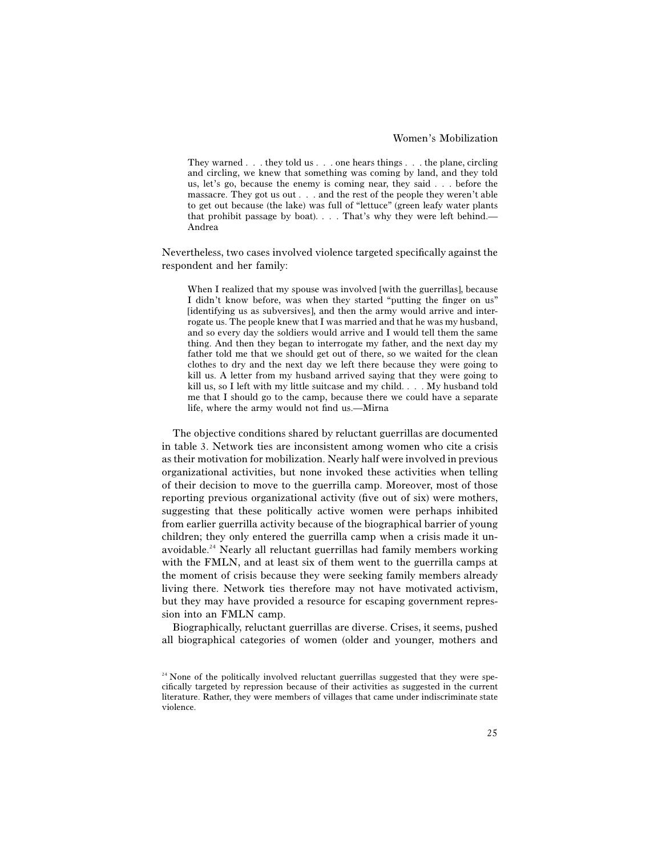#### Women's Mobilization

They warned . . . they told us . . . one hears things . . . the plane, circling and circling, we knew that something was coming by land, and they told us, let's go, because the enemy is coming near, they said . . . before the massacre. They got us out . . . and the rest of the people they weren't able to get out because (the lake) was full of "lettuce" (green leafy water plants that prohibit passage by boat). . . . That's why they were left behind.— Andrea

Nevertheless, two cases involved violence targeted specifically against the respondent and her family:

When I realized that my spouse was involved [with the guerrillas], because I didn't know before, was when they started "putting the finger on us" [identifying us as subversives], and then the army would arrive and interrogate us. The people knew that I was married and that he was my husband, and so every day the soldiers would arrive and I would tell them the same thing. And then they began to interrogate my father, and the next day my father told me that we should get out of there, so we waited for the clean clothes to dry and the next day we left there because they were going to kill us. A letter from my husband arrived saying that they were going to kill us, so I left with my little suitcase and my child. . . . My husband told me that I should go to the camp, because there we could have a separate life, where the army would not find us.—Mirna

The objective conditions shared by reluctant guerrillas are documented in table 3. Network ties are inconsistent among women who cite a crisis as their motivation for mobilization. Nearly half were involved in previous organizational activities, but none invoked these activities when telling of their decision to move to the guerrilla camp. Moreover, most of those reporting previous organizational activity (five out of six) were mothers, suggesting that these politically active women were perhaps inhibited from earlier guerrilla activity because of the biographical barrier of young children; they only entered the guerrilla camp when a crisis made it unavoidable.24 Nearly all reluctant guerrillas had family members working with the FMLN, and at least six of them went to the guerrilla camps at the moment of crisis because they were seeking family members already living there. Network ties therefore may not have motivated activism, but they may have provided a resource for escaping government repression into an FMLN camp.

Biographically, reluctant guerrillas are diverse. Crises, it seems, pushed all biographical categories of women (older and younger, mothers and

<sup>&</sup>lt;sup>24</sup> None of the politically involved reluctant guerrillas suggested that they were specifically targeted by repression because of their activities as suggested in the current literature. Rather, they were members of villages that came under indiscriminate state violence.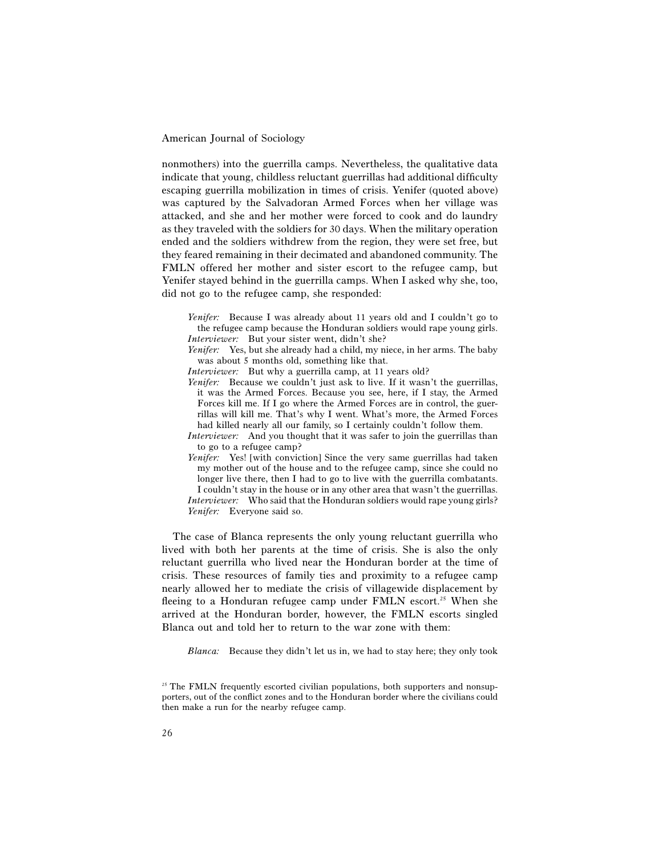nonmothers) into the guerrilla camps. Nevertheless, the qualitative data indicate that young, childless reluctant guerrillas had additional difficulty escaping guerrilla mobilization in times of crisis. Yenifer (quoted above) was captured by the Salvadoran Armed Forces when her village was attacked, and she and her mother were forced to cook and do laundry as they traveled with the soldiers for 30 days. When the military operation ended and the soldiers withdrew from the region, they were set free, but they feared remaining in their decimated and abandoned community. The FMLN offered her mother and sister escort to the refugee camp, but Yenifer stayed behind in the guerrilla camps. When I asked why she, too, did not go to the refugee camp, she responded:

*Yenifer:* Because I was already about 11 years old and I couldn't go to the refugee camp because the Honduran soldiers would rape young girls. *Interviewer:* But your sister went, didn't she?

*Yenifer:* Yes, but she already had a child, my niece, in her arms. The baby was about 5 months old, something like that.

*Interviewer:* But why a guerrilla camp, at 11 years old?

*Yenifer:* Because we couldn't just ask to live. If it wasn't the guerrillas, it was the Armed Forces. Because you see, here, if I stay, the Armed Forces kill me. If I go where the Armed Forces are in control, the guerrillas will kill me. That's why I went. What's more, the Armed Forces had killed nearly all our family, so I certainly couldn't follow them.

*Interviewer:* And you thought that it was safer to join the guerrillas than to go to a refugee camp?

*Yenifer:* Yes! [with conviction] Since the very same guerrillas had taken my mother out of the house and to the refugee camp, since she could no longer live there, then I had to go to live with the guerrilla combatants. I couldn't stay in the house or in any other area that wasn't the guerrillas. *Interviewer:* Who said that the Honduran soldiers would rape young girls?

*Yenifer:* Everyone said so.

The case of Blanca represents the only young reluctant guerrilla who lived with both her parents at the time of crisis. She is also the only reluctant guerrilla who lived near the Honduran border at the time of crisis. These resources of family ties and proximity to a refugee camp nearly allowed her to mediate the crisis of villagewide displacement by fleeing to a Honduran refugee camp under FMLN escort.<sup>25</sup> When she arrived at the Honduran border, however, the FMLN escorts singled Blanca out and told her to return to the war zone with them:

*Blanca:* Because they didn't let us in, we had to stay here; they only took

 $25$  The FMLN frequently escorted civilian populations, both supporters and nonsupporters, out of the conflict zones and to the Honduran border where the civilians could then make a run for the nearby refugee camp.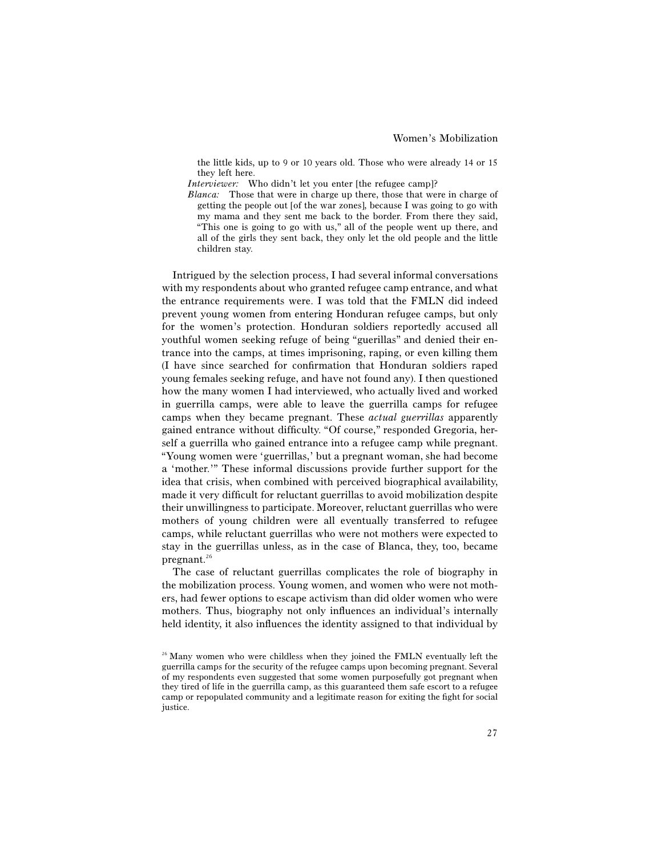the little kids, up to 9 or 10 years old. Those who were already 14 or 15 they left here.

*Interviewer:* Who didn't let you enter [the refugee camp]?

*Blanca:* Those that were in charge up there, those that were in charge of getting the people out [of the war zones], because I was going to go with my mama and they sent me back to the border. From there they said, "This one is going to go with us," all of the people went up there, and all of the girls they sent back, they only let the old people and the little children stay.

Intrigued by the selection process, I had several informal conversations with my respondents about who granted refugee camp entrance, and what the entrance requirements were. I was told that the FMLN did indeed prevent young women from entering Honduran refugee camps, but only for the women's protection. Honduran soldiers reportedly accused all youthful women seeking refuge of being "guerillas" and denied their entrance into the camps, at times imprisoning, raping, or even killing them (I have since searched for confirmation that Honduran soldiers raped young females seeking refuge, and have not found any). I then questioned how the many women I had interviewed, who actually lived and worked in guerrilla camps, were able to leave the guerrilla camps for refugee camps when they became pregnant. These *actual guerrillas* apparently gained entrance without difficulty. "Of course," responded Gregoria, herself a guerrilla who gained entrance into a refugee camp while pregnant. "Young women were 'guerrillas,' but a pregnant woman, she had become a 'mother.'" These informal discussions provide further support for the idea that crisis, when combined with perceived biographical availability, made it very difficult for reluctant guerrillas to avoid mobilization despite their unwillingness to participate. Moreover, reluctant guerrillas who were mothers of young children were all eventually transferred to refugee camps, while reluctant guerrillas who were not mothers were expected to stay in the guerrillas unless, as in the case of Blanca, they, too, became pregnant.<sup>26</sup>

The case of reluctant guerrillas complicates the role of biography in the mobilization process. Young women, and women who were not mothers, had fewer options to escape activism than did older women who were mothers. Thus, biography not only influences an individual's internally held identity, it also influences the identity assigned to that individual by

 $26$  Many women who were childless when they joined the FMLN eventually left the guerrilla camps for the security of the refugee camps upon becoming pregnant. Several of my respondents even suggested that some women purposefully got pregnant when they tired of life in the guerrilla camp, as this guaranteed them safe escort to a refugee camp or repopulated community and a legitimate reason for exiting the fight for social justice.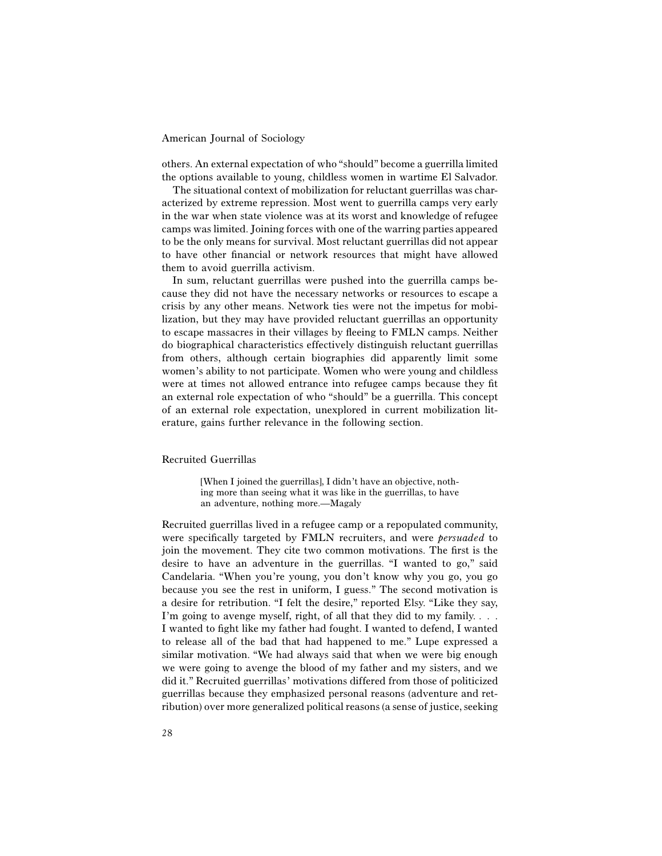others. An external expectation of who "should" become a guerrilla limited the options available to young, childless women in wartime El Salvador.

The situational context of mobilization for reluctant guerrillas was characterized by extreme repression. Most went to guerrilla camps very early in the war when state violence was at its worst and knowledge of refugee camps was limited. Joining forces with one of the warring parties appeared to be the only means for survival. Most reluctant guerrillas did not appear to have other financial or network resources that might have allowed them to avoid guerrilla activism.

In sum, reluctant guerrillas were pushed into the guerrilla camps because they did not have the necessary networks or resources to escape a crisis by any other means. Network ties were not the impetus for mobilization, but they may have provided reluctant guerrillas an opportunity to escape massacres in their villages by fleeing to FMLN camps. Neither do biographical characteristics effectively distinguish reluctant guerrillas from others, although certain biographies did apparently limit some women's ability to not participate. Women who were young and childless were at times not allowed entrance into refugee camps because they fit an external role expectation of who "should" be a guerrilla. This concept of an external role expectation, unexplored in current mobilization literature, gains further relevance in the following section.

## Recruited Guerrillas

[When I joined the guerrillas], I didn't have an objective, nothing more than seeing what it was like in the guerrillas, to have an adventure, nothing more.—Magaly

Recruited guerrillas lived in a refugee camp or a repopulated community, were specifically targeted by FMLN recruiters, and were *persuaded* to join the movement. They cite two common motivations. The first is the desire to have an adventure in the guerrillas. "I wanted to go," said Candelaria. "When you're young, you don't know why you go, you go because you see the rest in uniform, I guess." The second motivation is a desire for retribution. "I felt the desire," reported Elsy. "Like they say, I'm going to avenge myself, right, of all that they did to my family. . . . I wanted to fight like my father had fought. I wanted to defend, I wanted to release all of the bad that had happened to me." Lupe expressed a similar motivation. "We had always said that when we were big enough we were going to avenge the blood of my father and my sisters, and we did it." Recruited guerrillas' motivations differed from those of politicized guerrillas because they emphasized personal reasons (adventure and retribution) over more generalized political reasons (a sense of justice, seeking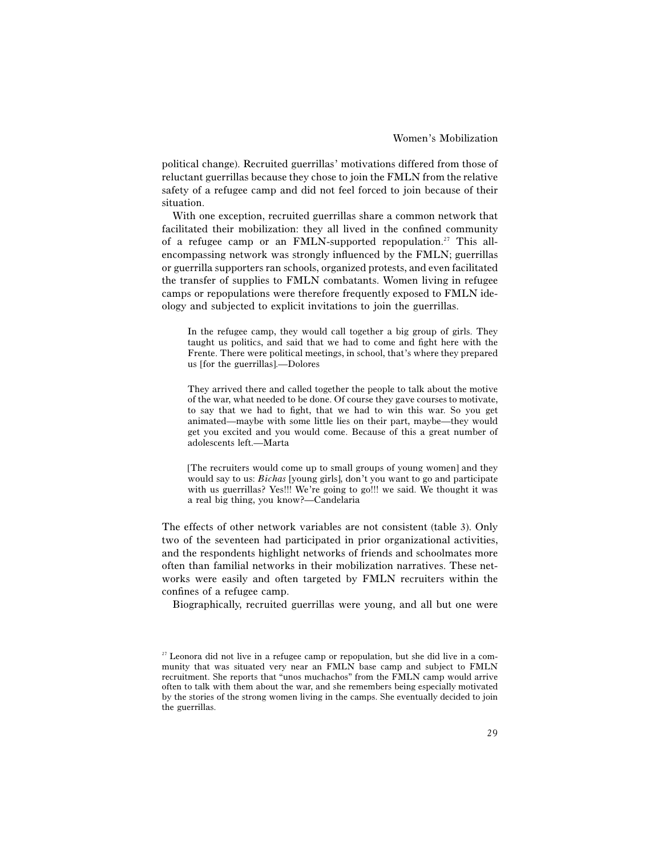political change). Recruited guerrillas' motivations differed from those of reluctant guerrillas because they chose to join the FMLN from the relative safety of a refugee camp and did not feel forced to join because of their situation.

With one exception, recruited guerrillas share a common network that facilitated their mobilization: they all lived in the confined community of a refugee camp or an FMLN-supported repopulation.<sup>27</sup> This allencompassing network was strongly influenced by the FMLN; guerrillas or guerrilla supporters ran schools, organized protests, and even facilitated the transfer of supplies to FMLN combatants. Women living in refugee camps or repopulations were therefore frequently exposed to FMLN ideology and subjected to explicit invitations to join the guerrillas.

In the refugee camp, they would call together a big group of girls. They taught us politics, and said that we had to come and fight here with the Frente. There were political meetings, in school, that's where they prepared us [for the guerrillas].—Dolores

They arrived there and called together the people to talk about the motive of the war, what needed to be done. Of course they gave courses to motivate, to say that we had to fight, that we had to win this war. So you get animated—maybe with some little lies on their part, maybe—they would get you excited and you would come. Because of this a great number of adolescents left.—Marta

[The recruiters would come up to small groups of young women] and they would say to us: *Bichas* [young girls], don't you want to go and participate with us guerrillas? Yes!!! We're going to go!!! we said. We thought it was a real big thing, you know?—Candelaria

The effects of other network variables are not consistent (table 3). Only two of the seventeen had participated in prior organizational activities, and the respondents highlight networks of friends and schoolmates more often than familial networks in their mobilization narratives. These networks were easily and often targeted by FMLN recruiters within the confines of a refugee camp.

Biographically, recruited guerrillas were young, and all but one were

 $27$  Leonora did not live in a refugee camp or repopulation, but she did live in a community that was situated very near an FMLN base camp and subject to FMLN recruitment. She reports that "unos muchachos" from the FMLN camp would arrive often to talk with them about the war, and she remembers being especially motivated by the stories of the strong women living in the camps. She eventually decided to join the guerrillas.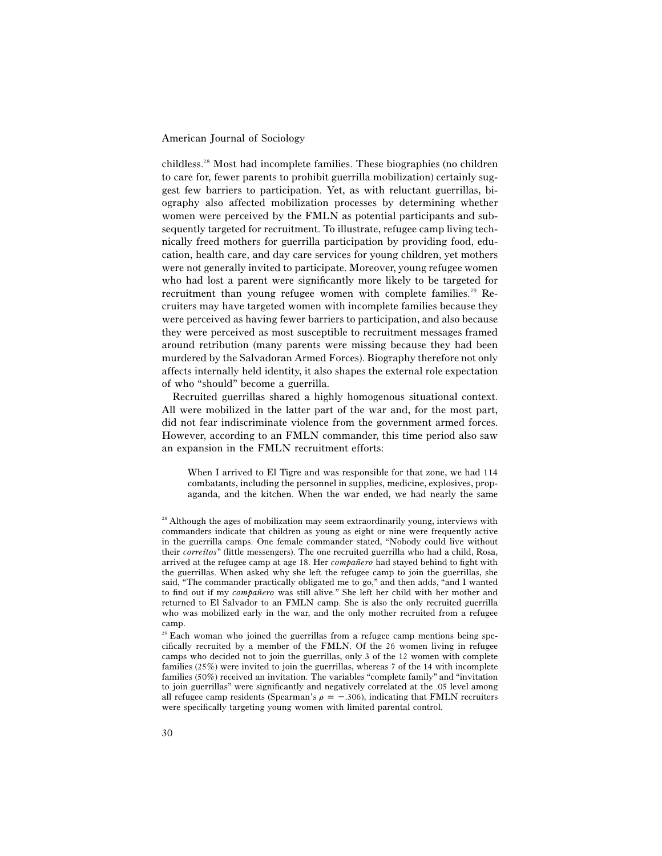childless.28 Most had incomplete families. These biographies (no children to care for, fewer parents to prohibit guerrilla mobilization) certainly suggest few barriers to participation. Yet, as with reluctant guerrillas, biography also affected mobilization processes by determining whether women were perceived by the FMLN as potential participants and subsequently targeted for recruitment. To illustrate, refugee camp living technically freed mothers for guerrilla participation by providing food, education, health care, and day care services for young children, yet mothers were not generally invited to participate. Moreover, young refugee women who had lost a parent were significantly more likely to be targeted for recruitment than young refugee women with complete families.<sup>29</sup> Recruiters may have targeted women with incomplete families because they were perceived as having fewer barriers to participation, and also because they were perceived as most susceptible to recruitment messages framed around retribution (many parents were missing because they had been murdered by the Salvadoran Armed Forces). Biography therefore not only affects internally held identity, it also shapes the external role expectation of who "should" become a guerrilla.

Recruited guerrillas shared a highly homogenous situational context. All were mobilized in the latter part of the war and, for the most part, did not fear indiscriminate violence from the government armed forces. However, according to an FMLN commander, this time period also saw an expansion in the FMLN recruitment efforts:

When I arrived to El Tigre and was responsible for that zone, we had 114 combatants, including the personnel in supplies, medicine, explosives, propaganda, and the kitchen. When the war ended, we had nearly the same

<sup>&</sup>lt;sup>28</sup> Although the ages of mobilization may seem extraordinarily young, interviews with commanders indicate that children as young as eight or nine were frequently active in the guerrilla camps. One female commander stated, "Nobody could live without their *correitos*" (little messengers). The one recruited guerrilla who had a child, Rosa, arrived at the refugee camp at age 18. Her *compan˜ero* had stayed behind to fight with the guerrillas. When asked why she left the refugee camp to join the guerrillas, she said, "The commander practically obligated me to go," and then adds, "and I wanted to find out if my *compan˜ero* was still alive." She left her child with her mother and returned to El Salvador to an FMLN camp. She is also the only recruited guerrilla who was mobilized early in the war, and the only mother recruited from a refugee camp.

<sup>&</sup>lt;sup>29</sup> Each woman who joined the guerrillas from a refugee camp mentions being specifically recruited by a member of the FMLN. Of the 26 women living in refugee camps who decided not to join the guerrillas, only 3 of the 12 women with complete families (25%) were invited to join the guerrillas, whereas 7 of the 14 with incomplete families (50%) received an invitation. The variables "complete family" and "invitation to join guerrillas" were significantly and negatively correlated at the .05 level among all refugee camp residents (Spearman's  $\rho = -.306$ ), indicating that FMLN recruiters were specifically targeting young women with limited parental control.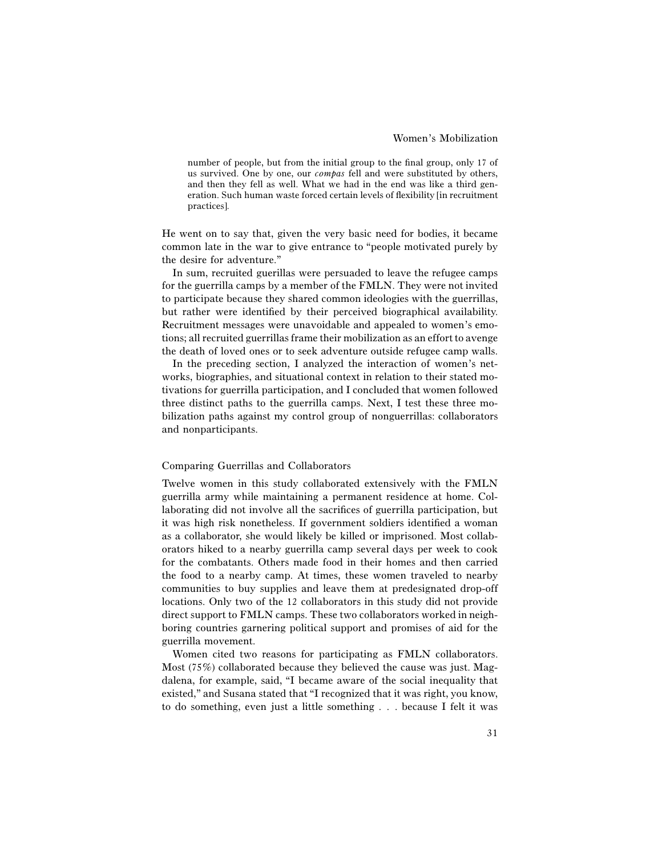## Women's Mobilization

number of people, but from the initial group to the final group, only 17 of us survived. One by one, our *compas* fell and were substituted by others, and then they fell as well. What we had in the end was like a third generation. Such human waste forced certain levels of flexibility [in recruitment practices].

He went on to say that, given the very basic need for bodies, it became common late in the war to give entrance to "people motivated purely by the desire for adventure."

In sum, recruited guerillas were persuaded to leave the refugee camps for the guerrilla camps by a member of the FMLN. They were not invited to participate because they shared common ideologies with the guerrillas, but rather were identified by their perceived biographical availability. Recruitment messages were unavoidable and appealed to women's emotions; all recruited guerrillas frame their mobilization as an effort to avenge the death of loved ones or to seek adventure outside refugee camp walls.

In the preceding section, I analyzed the interaction of women's networks, biographies, and situational context in relation to their stated motivations for guerrilla participation, and I concluded that women followed three distinct paths to the guerrilla camps. Next, I test these three mobilization paths against my control group of nonguerrillas: collaborators and nonparticipants.

## Comparing Guerrillas and Collaborators

Twelve women in this study collaborated extensively with the FMLN guerrilla army while maintaining a permanent residence at home. Collaborating did not involve all the sacrifices of guerrilla participation, but it was high risk nonetheless. If government soldiers identified a woman as a collaborator, she would likely be killed or imprisoned. Most collaborators hiked to a nearby guerrilla camp several days per week to cook for the combatants. Others made food in their homes and then carried the food to a nearby camp. At times, these women traveled to nearby communities to buy supplies and leave them at predesignated drop-off locations. Only two of the 12 collaborators in this study did not provide direct support to FMLN camps. These two collaborators worked in neighboring countries garnering political support and promises of aid for the guerrilla movement.

Women cited two reasons for participating as FMLN collaborators. Most (75%) collaborated because they believed the cause was just. Magdalena, for example, said, "I became aware of the social inequality that existed," and Susana stated that "I recognized that it was right, you know, to do something, even just a little something . . . because I felt it was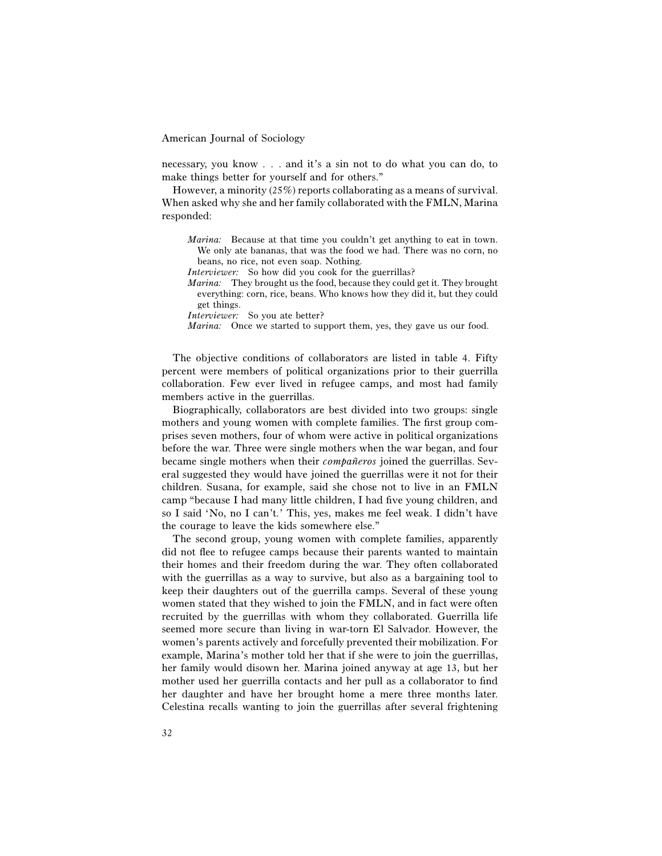necessary, you know . . . and it's a sin not to do what you can do, to make things better for yourself and for others."

However, a minority (25%) reports collaborating as a means of survival. When asked why she and her family collaborated with the FMLN, Marina responded:

- *Marina:* Because at that time you couldn't get anything to eat in town. We only ate bananas, that was the food we had. There was no corn, no beans, no rice, not even soap. Nothing.
- *Interviewer:* So how did you cook for the guerrillas?
- *Marina:* They brought us the food, because they could get it. They brought everything: corn, rice, beans. Who knows how they did it, but they could get things.
- *Interviewer:* So you ate better?
- *Marina:* Once we started to support them, yes, they gave us our food.

The objective conditions of collaborators are listed in table 4. Fifty percent were members of political organizations prior to their guerrilla collaboration. Few ever lived in refugee camps, and most had family members active in the guerrillas.

Biographically, collaborators are best divided into two groups: single mothers and young women with complete families. The first group comprises seven mothers, four of whom were active in political organizations before the war. Three were single mothers when the war began, and four became single mothers when their *compañeros* joined the guerrillas. Several suggested they would have joined the guerrillas were it not for their children. Susana, for example, said she chose not to live in an FMLN camp "because I had many little children, I had five young children, and so I said 'No, no I can't.' This, yes, makes me feel weak. I didn't have the courage to leave the kids somewhere else."

The second group, young women with complete families, apparently did not flee to refugee camps because their parents wanted to maintain their homes and their freedom during the war. They often collaborated with the guerrillas as a way to survive, but also as a bargaining tool to keep their daughters out of the guerrilla camps. Several of these young women stated that they wished to join the FMLN, and in fact were often recruited by the guerrillas with whom they collaborated. Guerrilla life seemed more secure than living in war-torn El Salvador. However, the women's parents actively and forcefully prevented their mobilization. For example, Marina's mother told her that if she were to join the guerrillas, her family would disown her. Marina joined anyway at age 13, but her mother used her guerrilla contacts and her pull as a collaborator to find her daughter and have her brought home a mere three months later. Celestina recalls wanting to join the guerrillas after several frightening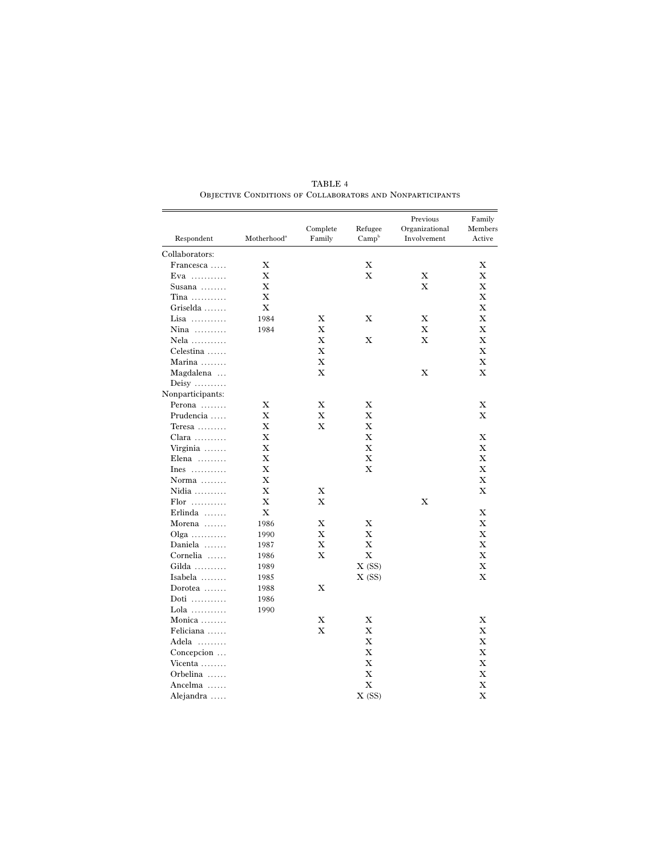| Respondent             | Motherhood <sup>a</sup> | Complete<br>Family | Refugee<br>Camp <sup>b</sup> | Previous<br>Organizational<br>Involvement | Family<br>Members<br>Active |
|------------------------|-------------------------|--------------------|------------------------------|-------------------------------------------|-----------------------------|
| Collaborators:         |                         |                    |                              |                                           |                             |
| $Francesca$            | X                       |                    | X                            |                                           | X                           |
| $Eva$                  | X                       |                    | X                            | X                                         | X                           |
| Susana                 | X                       |                    |                              | X                                         | X                           |
| Tina                   | X                       |                    |                              |                                           | X                           |
| Griselda               | $\overline{X}$          |                    |                              |                                           | $\mathbf X$                 |
| Lisa $\dots \dots$     | 1984                    | X                  | х                            | х                                         | X                           |
| Nina                   | 1984                    | X                  |                              | X                                         | X                           |
| $Nela$                 |                         | X                  | X                            | X                                         | X                           |
| $Celestina$            |                         | $\mathbf x$        |                              |                                           | X                           |
| Marina                 |                         | X                  |                              |                                           | X                           |
| Magdalena              |                         | $\mathbf x$        |                              | X                                         | $\mathbf{X}$                |
| Deisy                  |                         |                    |                              |                                           |                             |
| Nonparticipants:       |                         |                    |                              |                                           |                             |
| Perona                 | X                       | X                  | х                            |                                           | X                           |
| Prudencia              | X                       | X                  | X                            |                                           | X                           |
| Teresa                 | X                       | X                  | X                            |                                           |                             |
| $Clara$                | X                       |                    | X                            |                                           | X                           |
| Virginia               | X                       |                    | $\mathbf X$                  |                                           | X                           |
| Elena                  | X                       |                    | X                            |                                           | X                           |
|                        | X                       |                    | X                            |                                           | X                           |
| $I$ nes<br>Norma       | $\overline{X}$          |                    |                              |                                           | X                           |
| Nidia $\ldots$         | $\overline{X}$          |                    |                              |                                           | $\overline{X}$              |
|                        |                         | X                  |                              | X                                         |                             |
| $Flor$                 | X                       | х                  |                              |                                           |                             |
| $Erlinda$              | X                       |                    |                              |                                           | X                           |
| Morena                 | 1986                    | X                  | X                            |                                           | X                           |
| $Olga$                 | 1990                    | X                  | $\mathbf X$                  |                                           | $\mathbf X$                 |
| Daniela                | 1987                    | X                  | X                            |                                           | X                           |
| Cornelia               | 1986                    | X                  | X                            |                                           | X                           |
| Gilda                  | 1989                    |                    | $X$ (SS)                     |                                           | X                           |
| Isabela                | 1985                    |                    | $X$ (SS)                     |                                           | X                           |
| Dorotea $\dots$        | 1988                    | х                  |                              |                                           |                             |
| Doti                   | 1986                    |                    |                              |                                           |                             |
| Lola $\dots\dots\dots$ | 1990                    |                    |                              |                                           |                             |
| Monica                 |                         | X                  | х                            |                                           | х                           |
| Feliciana              |                         | $\mathbf x$        | X                            |                                           | X                           |
| Adela                  |                         |                    | X                            |                                           | X                           |
| Concepcion             |                         |                    | X                            |                                           | X                           |
| Vicenta                |                         |                    | X                            |                                           | X                           |
| Orbelina               |                         |                    | X                            |                                           | X                           |
| Ancelma                |                         |                    | X                            |                                           | X                           |
| Alejandra              |                         |                    | $X$ (SS)                     |                                           | $\overline{X}$              |

TABLE 4 Objective Conditions of Collaborators and Nonparticipants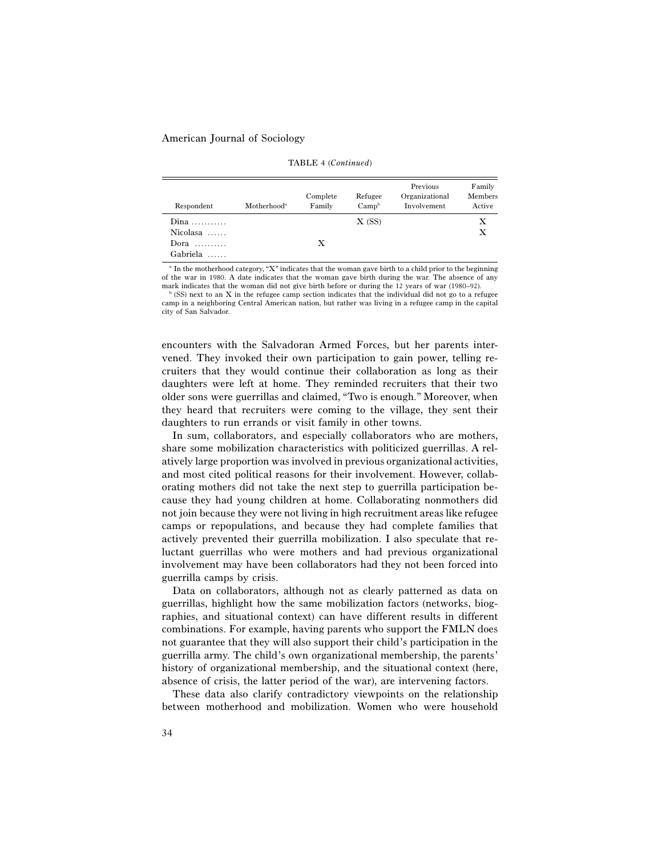| Respondent                                      | Motherhood <sup>a</sup> | Complete<br>Family | Refugee<br>Camp <sup>b</sup> | Previous<br>Organizational<br>Involvement | Family<br>Members<br>Active |
|-------------------------------------------------|-------------------------|--------------------|------------------------------|-------------------------------------------|-----------------------------|
| $Dina$<br>Nicolasa                              |                         |                    | $X$ (SS)                     |                                           | х<br>X                      |
| Dora $\dots\dots\dots$<br>Gabriela<br>1.1.1.1.1 |                         | х                  |                              |                                           |                             |

TABLE 4 (*Continued*)

<sup>a</sup> In the motherhood category, "X" indicates that the woman gave birth to a child prior to the beginning of the war in 1980. A date indicates that the woman gave birth during the war. The absence of any mark indicates that the woman did not give birth before or during the 12 years of war (1980–92).

<sup>b</sup> (SS) next to an X in the refugee camp section indicates that the individual did not go to a refugee camp in a neighboring Central American nation, but rather was living in a refugee camp in the capital city of San Salvador.

encounters with the Salvadoran Armed Forces, but her parents intervened. They invoked their own participation to gain power, telling recruiters that they would continue their collaboration as long as their daughters were left at home. They reminded recruiters that their two older sons were guerrillas and claimed, "Two is enough." Moreover, when they heard that recruiters were coming to the village, they sent their daughters to run errands or visit family in other towns.

In sum, collaborators, and especially collaborators who are mothers, share some mobilization characteristics with politicized guerrillas. A relatively large proportion was involved in previous organizational activities, and most cited political reasons for their involvement. However, collaborating mothers did not take the next step to guerrilla participation because they had young children at home. Collaborating nonmothers did not join because they were not living in high recruitment areas like refugee camps or repopulations, and because they had complete families that actively prevented their guerrilla mobilization. I also speculate that reluctant guerrillas who were mothers and had previous organizational involvement may have been collaborators had they not been forced into guerrilla camps by crisis.

Data on collaborators, although not as clearly patterned as data on guerrillas, highlight how the same mobilization factors (networks, biographies, and situational context) can have different results in different combinations. For example, having parents who support the FMLN does not guarantee that they will also support their child's participation in the guerrilla army. The child's own organizational membership, the parents' history of organizational membership, and the situational context (here, absence of crisis, the latter period of the war), are intervening factors.

These data also clarify contradictory viewpoints on the relationship between motherhood and mobilization. Women who were household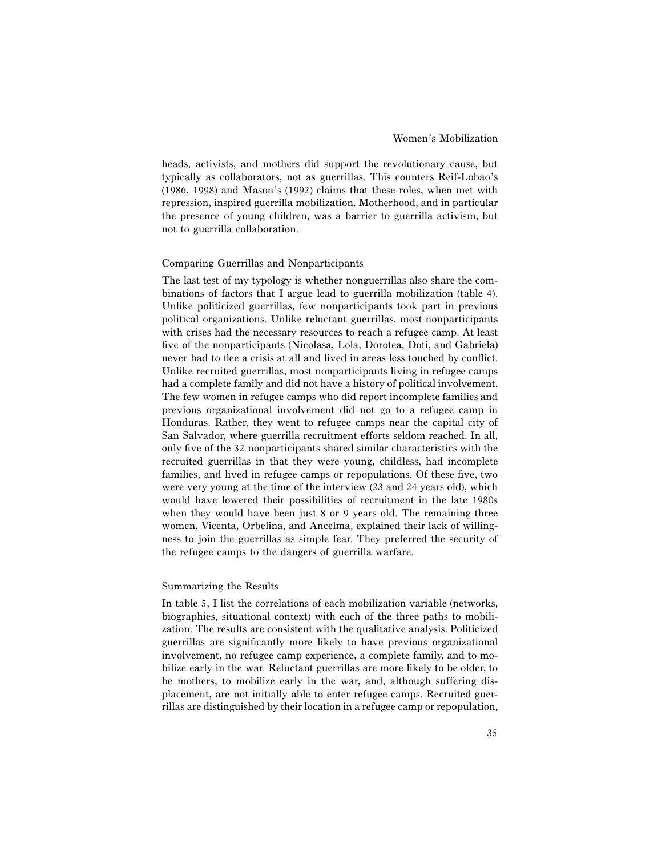heads, activists, and mothers did support the revolutionary cause, but typically as collaborators, not as guerrillas. This counters Reif-Lobao's (1986, 1998) and Mason's (1992) claims that these roles, when met with repression, inspired guerrilla mobilization. Motherhood, and in particular the presence of young children, was a barrier to guerrilla activism, but not to guerrilla collaboration.

## Comparing Guerrillas and Nonparticipants

The last test of my typology is whether nonguerrillas also share the combinations of factors that I argue lead to guerrilla mobilization (table 4). Unlike politicized guerrillas, few nonparticipants took part in previous political organizations. Unlike reluctant guerrillas, most nonparticipants with crises had the necessary resources to reach a refugee camp. At least five of the nonparticipants (Nicolasa, Lola, Dorotea, Doti, and Gabriela) never had to flee a crisis at all and lived in areas less touched by conflict. Unlike recruited guerrillas, most nonparticipants living in refugee camps had a complete family and did not have a history of political involvement. The few women in refugee camps who did report incomplete families and previous organizational involvement did not go to a refugee camp in Honduras. Rather, they went to refugee camps near the capital city of San Salvador, where guerrilla recruitment efforts seldom reached. In all, only five of the 32 nonparticipants shared similar characteristics with the recruited guerrillas in that they were young, childless, had incomplete families, and lived in refugee camps or repopulations. Of these five, two were very young at the time of the interview (23 and 24 years old), which would have lowered their possibilities of recruitment in the late 1980s when they would have been just 8 or 9 years old. The remaining three women, Vicenta, Orbelina, and Ancelma, explained their lack of willingness to join the guerrillas as simple fear. They preferred the security of the refugee camps to the dangers of guerrilla warfare.

## Summarizing the Results

In table 5, I list the correlations of each mobilization variable (networks, biographies, situational context) with each of the three paths to mobilization. The results are consistent with the qualitative analysis. Politicized guerrillas are significantly more likely to have previous organizational involvement, no refugee camp experience, a complete family, and to mobilize early in the war. Reluctant guerrillas are more likely to be older, to be mothers, to mobilize early in the war, and, although suffering displacement, are not initially able to enter refugee camps. Recruited guerrillas are distinguished by their location in a refugee camp or repopulation,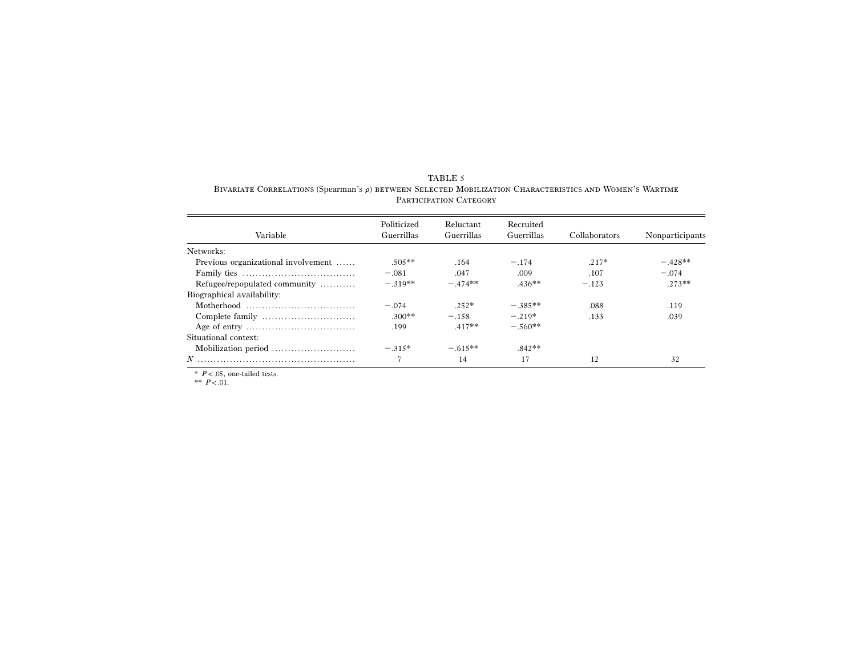| Variable                            | Politicized<br><b>Guerrillas</b> | Reluctant<br>Guerrillas | Recruited<br>Guerrillas | Collaborators | Nonparticipants |
|-------------------------------------|----------------------------------|-------------------------|-------------------------|---------------|-----------------|
| Networks:                           |                                  |                         |                         |               |                 |
| Previous organizational involvement | $.505**$                         | .164                    | $-.174$                 | $.217*$       | $-.428**$       |
|                                     | $-.081$                          | .047                    | .009                    | .107          | $-.074$         |
| Refugee/repopulated community       | $-.319**$                        | $-.474**$               | $.436**$                | $-.123$       | $.273**$        |
| Biographical availability:          |                                  |                         |                         |               |                 |
| Motherhood                          | $-.074$                          | $.252*$                 | $-.385**$               | .088          | .119            |
| Complete family                     | $.300**$                         | $-.158$                 | $-.219*$                | .133          | .039            |
|                                     | .199                             | $.417**$                | $-.560**$               |               |                 |
| Situational context:                |                                  |                         |                         |               |                 |
| Mobilization period                 | $-.315*$                         | $-.615**$               | $.842**$                |               |                 |
|                                     |                                  | 14                      | 17                      | 12            | 32              |

TABLE 5 BIVARIATE CORRELATIONS (Spearman's  $\rho$ ) between Selected Mobilization Characteristics and Women's Wartime Participation Category

 $*$   $P < .05$ , one-tailed tests.

 $*$  *P* < .01.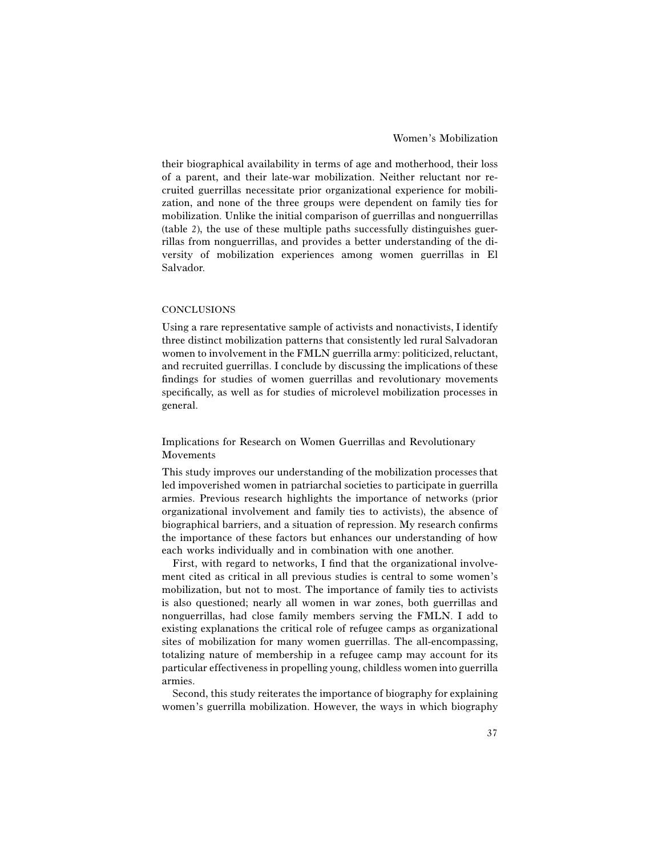their biographical availability in terms of age and motherhood, their loss of a parent, and their late-war mobilization. Neither reluctant nor recruited guerrillas necessitate prior organizational experience for mobilization, and none of the three groups were dependent on family ties for mobilization. Unlike the initial comparison of guerrillas and nonguerrillas (table 2), the use of these multiple paths successfully distinguishes guerrillas from nonguerrillas, and provides a better understanding of the diversity of mobilization experiences among women guerrillas in El Salvador.

#### **CONCLUSIONS**

Using a rare representative sample of activists and nonactivists, I identify three distinct mobilization patterns that consistently led rural Salvadoran women to involvement in the FMLN guerrilla army: politicized, reluctant, and recruited guerrillas. I conclude by discussing the implications of these findings for studies of women guerrillas and revolutionary movements specifically, as well as for studies of microlevel mobilization processes in general.

## Implications for Research on Women Guerrillas and Revolutionary Movements

This study improves our understanding of the mobilization processes that led impoverished women in patriarchal societies to participate in guerrilla armies. Previous research highlights the importance of networks (prior organizational involvement and family ties to activists), the absence of biographical barriers, and a situation of repression. My research confirms the importance of these factors but enhances our understanding of how each works individually and in combination with one another.

First, with regard to networks, I find that the organizational involvement cited as critical in all previous studies is central to some women's mobilization, but not to most. The importance of family ties to activists is also questioned; nearly all women in war zones, both guerrillas and nonguerrillas, had close family members serving the FMLN. I add to existing explanations the critical role of refugee camps as organizational sites of mobilization for many women guerrillas. The all-encompassing, totalizing nature of membership in a refugee camp may account for its particular effectiveness in propelling young, childless women into guerrilla armies.

Second, this study reiterates the importance of biography for explaining women's guerrilla mobilization. However, the ways in which biography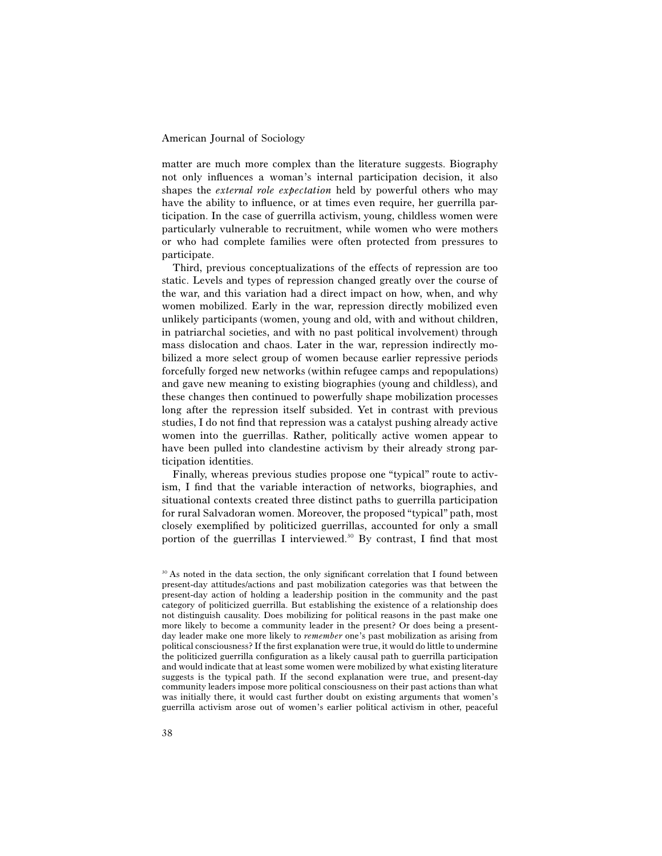matter are much more complex than the literature suggests. Biography not only influences a woman's internal participation decision, it also shapes the *external role expectation* held by powerful others who may have the ability to influence, or at times even require, her guerrilla participation. In the case of guerrilla activism, young, childless women were particularly vulnerable to recruitment, while women who were mothers or who had complete families were often protected from pressures to participate.

Third, previous conceptualizations of the effects of repression are too static. Levels and types of repression changed greatly over the course of the war, and this variation had a direct impact on how, when, and why women mobilized. Early in the war, repression directly mobilized even unlikely participants (women, young and old, with and without children, in patriarchal societies, and with no past political involvement) through mass dislocation and chaos. Later in the war, repression indirectly mobilized a more select group of women because earlier repressive periods forcefully forged new networks (within refugee camps and repopulations) and gave new meaning to existing biographies (young and childless), and these changes then continued to powerfully shape mobilization processes long after the repression itself subsided. Yet in contrast with previous studies, I do not find that repression was a catalyst pushing already active women into the guerrillas. Rather, politically active women appear to have been pulled into clandestine activism by their already strong participation identities.

Finally, whereas previous studies propose one "typical" route to activism, I find that the variable interaction of networks, biographies, and situational contexts created three distinct paths to guerrilla participation for rural Salvadoran women. Moreover, the proposed "typical" path, most closely exemplified by politicized guerrillas, accounted for only a small portion of the guerrillas I interviewed.30 By contrast, I find that most

<sup>&</sup>lt;sup>30</sup> As noted in the data section, the only significant correlation that I found between present-day attitudes/actions and past mobilization categories was that between the present-day action of holding a leadership position in the community and the past category of politicized guerrilla. But establishing the existence of a relationship does not distinguish causality. Does mobilizing for political reasons in the past make one more likely to become a community leader in the present? Or does being a presentday leader make one more likely to *remember* one's past mobilization as arising from political consciousness? If the first explanation were true, it would do little to undermine the politicized guerrilla configuration as a likely causal path to guerrilla participation and would indicate that at least some women were mobilized by what existing literature suggests is the typical path. If the second explanation were true, and present-day community leaders impose more political consciousness on their past actions than what was initially there, it would cast further doubt on existing arguments that women's guerrilla activism arose out of women's earlier political activism in other, peaceful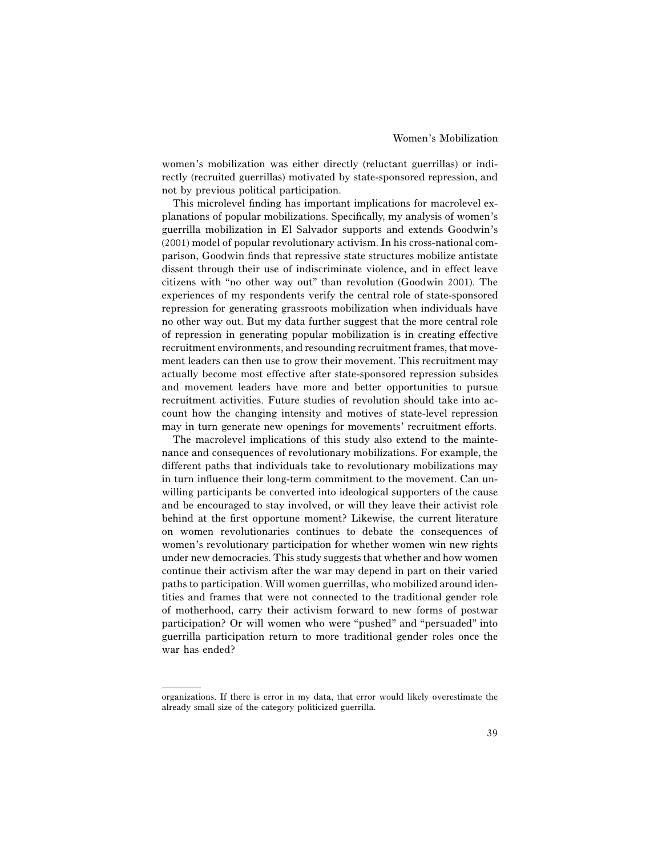women's mobilization was either directly (reluctant guerrillas) or indirectly (recruited guerrillas) motivated by state-sponsored repression, and not by previous political participation.

This microlevel finding has important implications for macrolevel explanations of popular mobilizations. Specifically, my analysis of women's guerrilla mobilization in El Salvador supports and extends Goodwin's (2001) model of popular revolutionary activism. In his cross-national comparison, Goodwin finds that repressive state structures mobilize antistate dissent through their use of indiscriminate violence, and in effect leave citizens with "no other way out" than revolution (Goodwin 2001). The experiences of my respondents verify the central role of state-sponsored repression for generating grassroots mobilization when individuals have no other way out. But my data further suggest that the more central role of repression in generating popular mobilization is in creating effective recruitment environments, and resounding recruitment frames, that movement leaders can then use to grow their movement. This recruitment may actually become most effective after state-sponsored repression subsides and movement leaders have more and better opportunities to pursue recruitment activities. Future studies of revolution should take into account how the changing intensity and motives of state-level repression may in turn generate new openings for movements' recruitment efforts.

The macrolevel implications of this study also extend to the maintenance and consequences of revolutionary mobilizations. For example, the different paths that individuals take to revolutionary mobilizations may in turn influence their long-term commitment to the movement. Can unwilling participants be converted into ideological supporters of the cause and be encouraged to stay involved, or will they leave their activist role behind at the first opportune moment? Likewise, the current literature on women revolutionaries continues to debate the consequences of women's revolutionary participation for whether women win new rights under new democracies. This study suggests that whether and how women continue their activism after the war may depend in part on their varied paths to participation. Will women guerrillas, who mobilized around identities and frames that were not connected to the traditional gender role of motherhood, carry their activism forward to new forms of postwar participation? Or will women who were "pushed" and "persuaded" into guerrilla participation return to more traditional gender roles once the war has ended?

organizations. If there is error in my data, that error would likely overestimate the already small size of the category politicized guerrilla.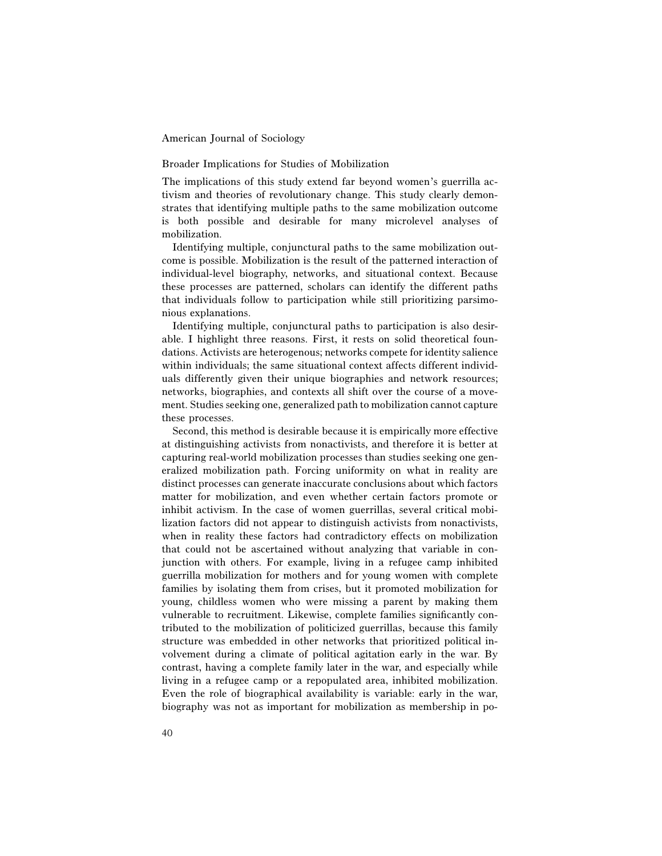#### Broader Implications for Studies of Mobilization

The implications of this study extend far beyond women's guerrilla activism and theories of revolutionary change. This study clearly demonstrates that identifying multiple paths to the same mobilization outcome is both possible and desirable for many microlevel analyses of mobilization.

Identifying multiple, conjunctural paths to the same mobilization outcome is possible. Mobilization is the result of the patterned interaction of individual-level biography, networks, and situational context. Because these processes are patterned, scholars can identify the different paths that individuals follow to participation while still prioritizing parsimonious explanations.

Identifying multiple, conjunctural paths to participation is also desirable. I highlight three reasons. First, it rests on solid theoretical foundations. Activists are heterogenous; networks compete for identity salience within individuals; the same situational context affects different individuals differently given their unique biographies and network resources; networks, biographies, and contexts all shift over the course of a movement. Studies seeking one, generalized path to mobilization cannot capture these processes.

Second, this method is desirable because it is empirically more effective at distinguishing activists from nonactivists, and therefore it is better at capturing real-world mobilization processes than studies seeking one generalized mobilization path. Forcing uniformity on what in reality are distinct processes can generate inaccurate conclusions about which factors matter for mobilization, and even whether certain factors promote or inhibit activism. In the case of women guerrillas, several critical mobilization factors did not appear to distinguish activists from nonactivists, when in reality these factors had contradictory effects on mobilization that could not be ascertained without analyzing that variable in conjunction with others. For example, living in a refugee camp inhibited guerrilla mobilization for mothers and for young women with complete families by isolating them from crises, but it promoted mobilization for young, childless women who were missing a parent by making them vulnerable to recruitment. Likewise, complete families significantly contributed to the mobilization of politicized guerrillas, because this family structure was embedded in other networks that prioritized political involvement during a climate of political agitation early in the war. By contrast, having a complete family later in the war, and especially while living in a refugee camp or a repopulated area, inhibited mobilization. Even the role of biographical availability is variable: early in the war, biography was not as important for mobilization as membership in po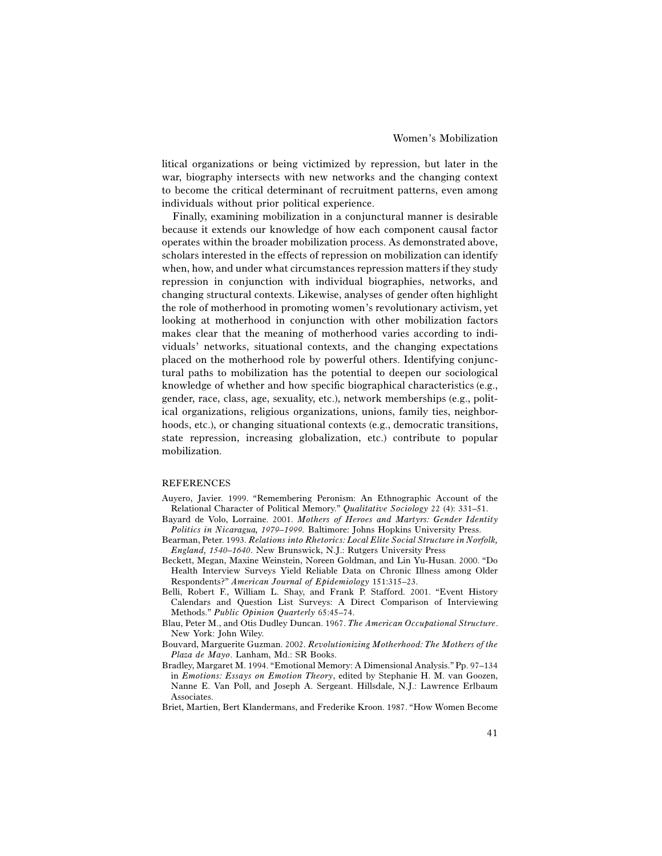litical organizations or being victimized by repression, but later in the war, biography intersects with new networks and the changing context to become the critical determinant of recruitment patterns, even among individuals without prior political experience.

Finally, examining mobilization in a conjunctural manner is desirable because it extends our knowledge of how each component causal factor operates within the broader mobilization process. As demonstrated above, scholars interested in the effects of repression on mobilization can identify when, how, and under what circumstances repression matters if they study repression in conjunction with individual biographies, networks, and changing structural contexts. Likewise, analyses of gender often highlight the role of motherhood in promoting women's revolutionary activism, yet looking at motherhood in conjunction with other mobilization factors makes clear that the meaning of motherhood varies according to individuals' networks, situational contexts, and the changing expectations placed on the motherhood role by powerful others. Identifying conjunctural paths to mobilization has the potential to deepen our sociological knowledge of whether and how specific biographical characteristics (e.g., gender, race, class, age, sexuality, etc.), network memberships (e.g., political organizations, religious organizations, unions, family ties, neighborhoods, etc.), or changing situational contexts (e.g., democratic transitions, state repression, increasing globalization, etc.) contribute to popular mobilization.

#### **REFERENCES**

- Auyero, Javier. 1999. "Remembering Peronism: An Ethnographic Account of the Relational Character of Political Memory." *Qualitative Sociology* 22 (4): 331–51.
- Bayard de Volo, Lorraine. 2001. *Mothers of Heroes and Martyrs: Gender Identity Politics in Nicaragua, 1979–1999.* Baltimore: Johns Hopkins University Press.
- Bearman, Peter. 1993. *Relations into Rhetorics: Local Elite Social Structure in Norfolk, England, 1540–1640*. New Brunswick, N.J.: Rutgers University Press
- Beckett, Megan, Maxine Weinstein, Noreen Goldman, and Lin Yu-Husan. 2000. "Do Health Interview Surveys Yield Reliable Data on Chronic Illness among Older Respondents?" *American Journal of Epidemiology* 151:315–23.
- Belli, Robert F., William L. Shay, and Frank P. Stafford. 2001. "Event History Calendars and Question List Surveys: A Direct Comparison of Interviewing Methods." *Public Opinion Quarterly* 65:45–74.
- Blau, Peter M., and Otis Dudley Duncan. 1967. *The American Occupational Structure*. New York: John Wiley.
- Bouvard, Marguerite Guzman. 2002. *Revolutionizing Motherhood: The Mothers of the Plaza de Mayo*. Lanham, Md.: SR Books.
- Bradley, Margaret M. 1994. "Emotional Memory: A Dimensional Analysis." Pp. 97–134 in *Emotions: Essays on Emotion Theory*, edited by Stephanie H. M. van Goozen, Nanne E. Van Poll, and Joseph A. Sergeant. Hillsdale, N.J.: Lawrence Erlbaum **Associates**
- Briet, Martien, Bert Klandermans, and Frederike Kroon. 1987. "How Women Become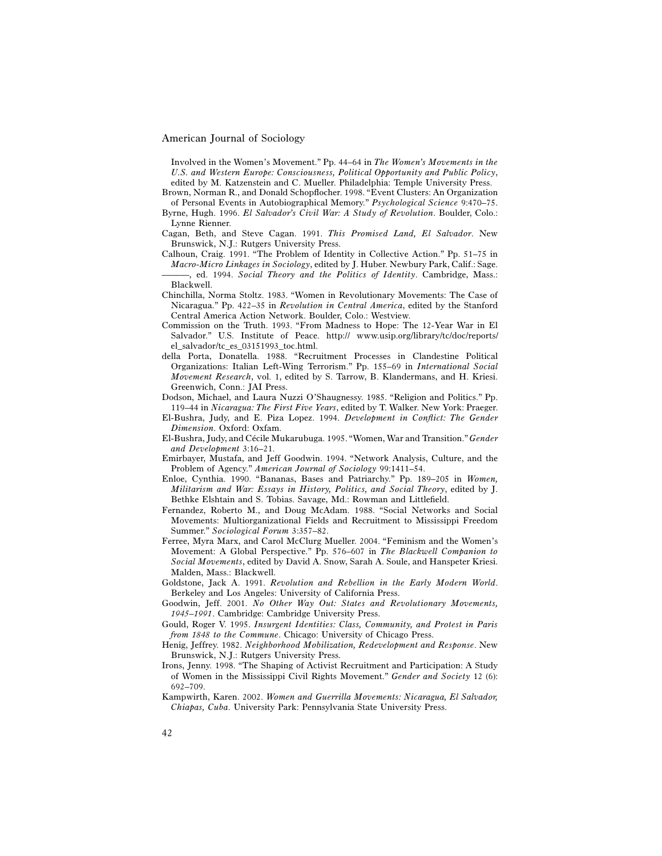Involved in the Women's Movement." Pp. 44–64 in *The Women's Movements in the U.S. and Western Europe: Consciousness, Political Opportunity and Public Policy*, edited by M. Katzenstein and C. Mueller. Philadelphia: Temple University Press.

Brown, Norman R., and Donald Schopflocher. 1998. "Event Clusters: An Organization of Personal Events in Autobiographical Memory." *Psychological Science* 9:470–75.

Byrne, Hugh. 1996. *El Salvador's Civil War: A Study of Revolution*. Boulder, Colo.: Lynne Rienner.

Cagan, Beth, and Steve Cagan. 1991. *This Promised Land, El Salvador*. New Brunswick, N.J.: Rutgers University Press.

Calhoun, Craig. 1991. "The Problem of Identity in Collective Action." Pp. 51–75 in

*Macro-Micro Linkages in Sociology*, edited by J. Huber. Newbury Park, Calif.: Sage. ———, ed. 1994. *Social Theory and the Politics of Identity*. Cambridge, Mass.: Blackwell.

Chinchilla, Norma Stoltz. 1983. "Women in Revolutionary Movements: The Case of Nicaragua." Pp. 422–35 in *Revolution in Central America*, edited by the Stanford Central America Action Network. Boulder, Colo.: Westview.

- Commission on the Truth. 1993. "From Madness to Hope: The 12-Year War in El Salvador." U.S. Institute of Peace. http:// www.usip.org/library/tc/doc/reports/ el\_salvador/tc\_es\_03151993\_toc.html.
- della Porta, Donatella. 1988. "Recruitment Processes in Clandestine Political Organizations: Italian Left-Wing Terrorism." Pp. 155–69 in *International Social Movement Research*, vol. 1, edited by S. Tarrow, B. Klandermans, and H. Kriesi. Greenwich, Conn.: JAI Press.
- Dodson, Michael, and Laura Nuzzi O'Shaugnessy. 1985. "Religion and Politics." Pp. 119–44 in *Nicaragua: The First Five Years*, edited by T. Walker. New York: Praeger.
- El-Bushra, Judy, and E. Piza Lopez. 1994. *Development in Conflict: The Gender Dimension*. Oxford: Oxfam.
- El-Bushra, Judy, and Ce´cile Mukarubuga. 1995. "Women, War and Transition." *Gender and Development* 3:16–21.
- Emirbayer, Mustafa, and Jeff Goodwin. 1994. "Network Analysis, Culture, and the Problem of Agency." *American Journal of Sociology* 99:1411–54.
- Enloe, Cynthia. 1990. "Bananas, Bases and Patriarchy." Pp. 189–205 in *Women, Militarism and War: Essays in History, Politics, and Social Theory*, edited by J. Bethke Elshtain and S. Tobias. Savage, Md.: Rowman and Littlefield.
- Fernandez, Roberto M., and Doug McAdam. 1988. "Social Networks and Social Movements: Multiorganizational Fields and Recruitment to Mississippi Freedom Summer." *Sociological Forum* 3:357–82.
- Ferree, Myra Marx, and Carol McClurg Mueller. 2004. "Feminism and the Women's Movement: A Global Perspective." Pp. 576–607 in *The Blackwell Companion to Social Movements*, edited by David A. Snow, Sarah A. Soule, and Hanspeter Kriesi. Malden, Mass.: Blackwell.
- Goldstone, Jack A. 1991. *Revolution and Rebellion in the Early Modern World*. Berkeley and Los Angeles: University of California Press.
- Goodwin, Jeff. 2001. *No Other Way Out: States and Revolutionary Movements, 1945–1991*. Cambridge: Cambridge University Press.
- Gould, Roger V. 1995. *Insurgent Identities: Class, Community, and Protest in Paris from 1848 to the Commune*. Chicago: University of Chicago Press.

Henig, Jeffrey. 1982. *Neighborhood Mobilization, Redevelopment and Response*. New Brunswick, N.J.: Rutgers University Press.

- Irons, Jenny. 1998. "The Shaping of Activist Recruitment and Participation: A Study of Women in the Mississippi Civil Rights Movement." *Gender and Society* 12 (6): 692–709.
- Kampwirth, Karen. 2002. *Women and Guerrilla Movements: Nicaragua, El Salvador, Chiapas, Cuba*. University Park: Pennsylvania State University Press.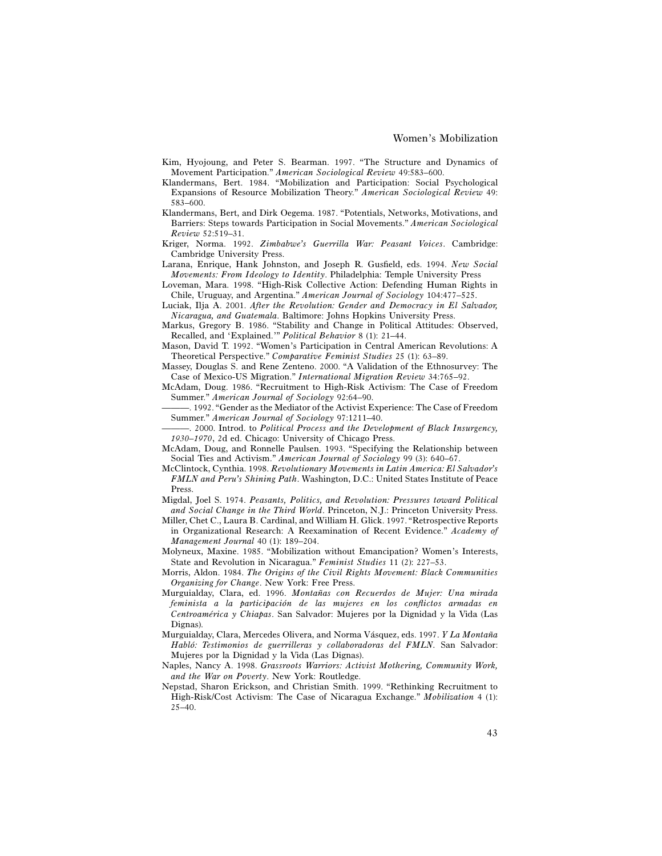- Kim, Hyojoung, and Peter S. Bearman. 1997. "The Structure and Dynamics of Movement Participation." *American Sociological Review* 49:583–600.
- Klandermans, Bert. 1984. "Mobilization and Participation: Social Psychological Expansions of Resource Mobilization Theory." *American Sociological Review* 49: 583–600.
- Klandermans, Bert, and Dirk Oegema. 1987. "Potentials, Networks, Motivations, and Barriers: Steps towards Participation in Social Movements." *American Sociological Review* 52:519–31.
- Kriger, Norma. 1992. *Zimbabwe's Guerrilla War: Peasant Voices*. Cambridge: Cambridge University Press.
- Larana, Enrique, Hank Johnston, and Joseph R. Gusfield, eds. 1994. *New Social Movements: From Ideology to Identity*. Philadelphia: Temple University Press
- Loveman, Mara. 1998. "High-Risk Collective Action: Defending Human Rights in Chile, Uruguay, and Argentina." *American Journal of Sociology* 104:477–525.
- Luciak, Ilja A. 2001. *After the Revolution: Gender and Democracy in El Salvador, Nicaragua, and Guatemala*. Baltimore: Johns Hopkins University Press.
- Markus, Gregory B. 1986. "Stability and Change in Political Attitudes: Observed, Recalled, and 'Explained.'" *Political Behavior* 8 (1): 21–44.
- Mason, David T. 1992. "Women's Participation in Central American Revolutions: A Theoretical Perspective." *Comparative Feminist Studies* 25 (1): 63–89.
- Massey, Douglas S. and Rene Zenteno. 2000. "A Validation of the Ethnosurvey: The Case of Mexico-US Migration." *International Migration Review* 34:765–92.
- McAdam, Doug. 1986. "Recruitment to High-Risk Activism: The Case of Freedom Summer." *American Journal of Sociology* 92:64–90.
- ———. 1992. "Gender as the Mediator of the Activist Experience: The Case of Freedom Summer." *American Journal of Sociology* 97:1211–40.
- ———. 2000. Introd. to *Political Process and the Development of Black Insurgency, 1930–1970*, 2d ed. Chicago: University of Chicago Press.
- McAdam, Doug, and Ronnelle Paulsen. 1993. "Specifying the Relationship between Social Ties and Activism." *American Journal of Sociology* 99 (3): 640–67.
- McClintock, Cynthia. 1998. *Revolutionary Movements in Latin America: El Salvador's FMLN and Peru's Shining Path*. Washington, D.C.: United States Institute of Peace Press.
- Migdal, Joel S. 1974. *Peasants, Politics, and Revolution: Pressures toward Political and Social Change in the Third World*. Princeton, N.J.: Princeton University Press.
- Miller, Chet C., Laura B. Cardinal, and William H. Glick. 1997. "Retrospective Reports in Organizational Research: A Reexamination of Recent Evidence." *Academy of Management Journal* 40 (1): 189–204.
- Molyneux, Maxine. 1985. "Mobilization without Emancipation? Women's Interests, State and Revolution in Nicaragua." *Feminist Studies* 11 (2): 227–53.
- Morris, Aldon. 1984. *The Origins of the Civil Rights Movement: Black Communities Organizing for Change*. New York: Free Press.
- Murguialday, Clara, ed. 1996. *Montan˜as con Recuerdos de Mujer: Una mirada feminista a la participacio´n de las mujeres en los conflictos armadas en Centroame´rica y Chiapas*. San Salvador: Mujeres por la Dignidad y la Vida (Las Dignas).
- Murguialday, Clara, Mercedes Olivera, and Norma Vásquez, eds. 1997. *Y La Montaña Hablo´: Testimonios de guerrilleras y collaboradoras del FMLN.* San Salvador: Mujeres por la Dignidad y la Vida (Las Dignas).
- Naples, Nancy A. 1998. *Grassroots Warriors: Activist Mothering, Community Work, and the War on Poverty*. New York: Routledge.
- Nepstad, Sharon Erickson, and Christian Smith. 1999. "Rethinking Recruitment to High-Risk/Cost Activism: The Case of Nicaragua Exchange." *Mobilization* 4 (1): 25–40.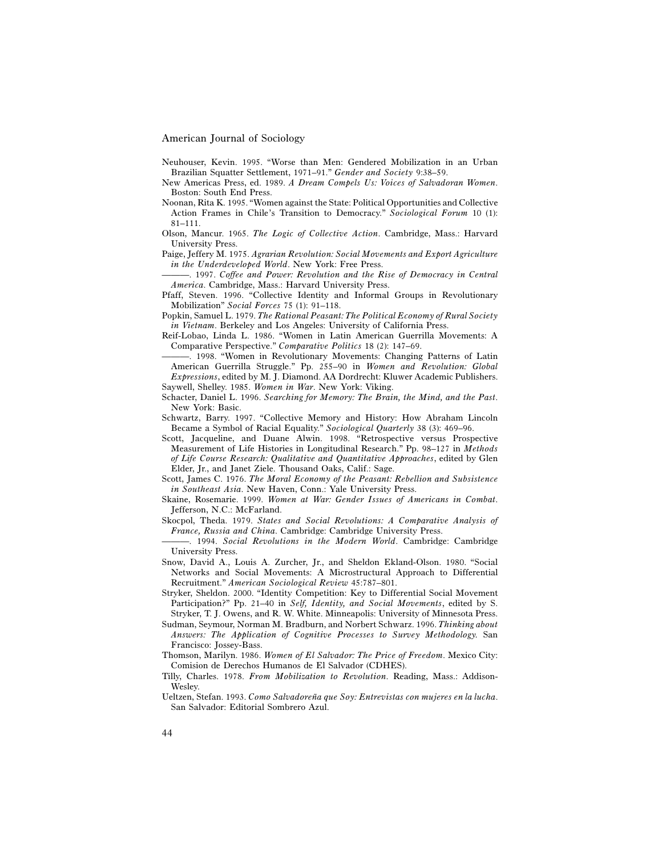- Neuhouser, Kevin. 1995. "Worse than Men: Gendered Mobilization in an Urban Brazilian Squatter Settlement, 1971–91." *Gender and Society* 9:38–59.
- New Americas Press, ed. 1989. *A Dream Compels Us: Voices of Salvadoran Women*. Boston: South End Press.
- Noonan, Rita K. 1995. "Women against the State: Political Opportunities and Collective Action Frames in Chile's Transition to Democracy." *Sociological Forum* 10 (1): 81–111.
- Olson, Mancur. 1965. *The Logic of Collective Action*. Cambridge, Mass.: Harvard University Press.

Paige, Jeffery M. 1975. *Agrarian Revolution: Social Movements and Export Agriculture in the Underdeveloped World*. New York: Free Press.

- ———. 1997. *Coffee and Power: Revolution and the Rise of Democracy in Central America*. Cambridge, Mass.: Harvard University Press.
- Pfaff, Steven. 1996. "Collective Identity and Informal Groups in Revolutionary Mobilization" *Social Forces* 75 (1): 91–118.
- Popkin, Samuel L. 1979. *The Rational Peasant: The Political Economy of Rural Society in Vietnam*. Berkeley and Los Angeles: University of California Press.
- Reif-Lobao, Linda L. 1986. "Women in Latin American Guerrilla Movements: A Comparative Perspective." *Comparative Politics* 18 (2): 147–69.
- ———. 1998. "Women in Revolutionary Movements: Changing Patterns of Latin American Guerrilla Struggle." Pp. 255–90 in *Women and Revolution: Global Expressions*, edited by M. J. Diamond. AA Dordrecht: Kluwer Academic Publishers. Saywell, Shelley. 1985. *Women in War*. New York: Viking.
- Schacter, Daniel L. 1996. *Searching for Memory: The Brain, the Mind, and the Past*. New York: Basic.
- Schwartz, Barry. 1997. "Collective Memory and History: How Abraham Lincoln Became a Symbol of Racial Equality." *Sociological Quarterly* 38 (3): 469–96.
- Scott, Jacqueline, and Duane Alwin. 1998. "Retrospective versus Prospective Measurement of Life Histories in Longitudinal Research." Pp. 98–127 in *Methods of Life Course Research: Qualitative and Quantitative Approaches*, edited by Glen Elder, Jr., and Janet Ziele. Thousand Oaks, Calif.: Sage.
- Scott, James C. 1976. *The Moral Economy of the Peasant: Rebellion and Subsistence in Southeast Asia*. New Haven, Conn.: Yale University Press.
- Skaine, Rosemarie. 1999. *Women at War: Gender Issues of Americans in Combat*. Jefferson, N.C.: McFarland.
- Skocpol, Theda. 1979. *States and Social Revolutions: A Comparative Analysis of France, Russia and China*. Cambridge: Cambridge University Press.
- ———. 1994. *Social Revolutions in the Modern World*. Cambridge: Cambridge University Press.
- Snow, David A., Louis A. Zurcher, Jr., and Sheldon Ekland-Olson. 1980. "Social Networks and Social Movements: A Microstructural Approach to Differential Recruitment." *American Sociological Review* 45:787–801.
- Stryker, Sheldon. 2000. "Identity Competition: Key to Differential Social Movement Participation?" Pp. 21–40 in *Self, Identity, and Social Movements*, edited by S. Stryker, T. J. Owens, and R. W. White. Minneapolis: University of Minnesota Press.
- Sudman, Seymour, Norman M. Bradburn, and Norbert Schwarz. 1996. *Thinking about Answers: The Application of Cognitive Processes to Survey Methodology.* San
	- Francisco: Jossey-Bass.
- Thomson, Marilyn. 1986. *Women of El Salvador: The Price of Freedom*. Mexico City: Comision de Derechos Humanos de El Salvador (CDHES).
- Tilly, Charles. 1978. *From Mobilization to Revolution*. Reading, Mass.: Addison-Wesley.
- Ueltzen, Stefan. 1993. *Como Salvadoren˜a que Soy: Entrevistas con mujeres en la lucha*. San Salvador: Editorial Sombrero Azul.